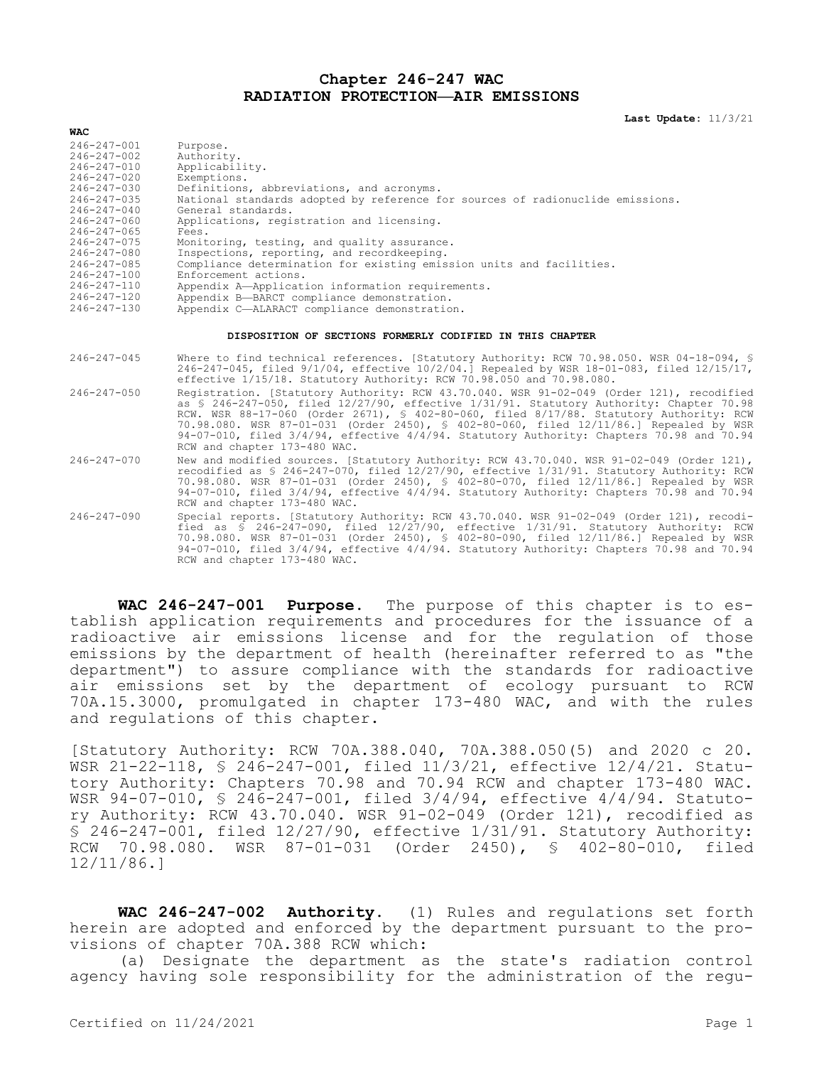## **Chapter 246-247 WAC RADIATION PROTECTION—AIR EMISSIONS**

**Last Update:** 11/3/21

| <b>WAC</b>        |                                                                                |
|-------------------|--------------------------------------------------------------------------------|
| 246-247-001       | Purpose.                                                                       |
| $246 - 247 - 002$ | Authority.                                                                     |
| 246-247-010       | Applicability.                                                                 |
| $246 - 247 - 020$ | Exemptions.                                                                    |
| $246 - 247 - 030$ | Definitions, abbreviations, and acronyms.                                      |
| $246 - 247 - 035$ | National standards adopted by reference for sources of radionuclide emissions. |
| $246 - 247 - 040$ | General standards.                                                             |
| $246 - 247 - 060$ | Applications, registration and licensing.                                      |
| $246 - 247 - 065$ | Fees.                                                                          |
| $246 - 247 - 075$ | Monitoring, testing, and quality assurance.                                    |
| $246 - 247 - 080$ | Inspections, reporting, and recordkeeping.                                     |
| $246 - 247 - 085$ | Compliance determination for existing emission units and facilities.           |
| $246 - 247 - 100$ | Enforcement actions.                                                           |
| 246-247-110       | Appendix A-Application information requirements.                               |
| $246 - 247 - 120$ | Appendix B-BARCT compliance demonstration.                                     |
| $216 - 217 - 130$ | Appendix C AIADACE compliance demonstration                                    |

## 246-247-130 Appendix C—ALARACT compliance demonstration.

## **DISPOSITION OF SECTIONS FORMERLY CODIFIED IN THIS CHAPTER**

- 246-247-045 Where to find technical references. [Statutory Authority: RCW 70.98.050. WSR 04-18-094, § 246-247-045, filed 9/1/04, effective 10/2/04.] Repealed by WSR 18-01-083, filed 12/15/17, effective 1/15/18. Statutory Authority: RCW 70.98.050 and 70.98.080.
- 246-247-050 Registration. [Statutory Authority: RCW 43.70.040. WSR 91-02-049 (Order 121), recodified as § 246-247-050, filed 12/27/90, effective 1/31/91. Statutory Authority: Chapter 70.98 RCW. WSR 88-17-060 (Order 2671), § 402-80-060, filed 8/17/88. Statutory Authority: RCW 70.98.080. WSR 87-01-031 (Order 2450), § 402-80-060, filed 12/11/86.] Repealed by WSR 94-07-010, filed 3/4/94, effective 4/4/94. Statutory Authority: Chapters 70.98 and 70.94 RCW and chapter 173-480 WAC.
- 246-247-070 New and modified sources. [Statutory Authority: RCW 43.70.040. WSR 91-02-049 (Order 121), recodified as § 246-247-070, filed 12/27/90, effective 1/31/91. Statutory Authority: RCW 70.98.080. WSR 87-01-031 (Order 2450), § 402-80-070, filed 12/11/86.] Repealed by WSR 94-07-010, filed 3/4/94, effective 4/4/94. Statutory Authority: Chapters 70.98 and 70.94 RCW and chapter 173-480 WAC.
- 246-247-090 Special reports. [Statutory Authority: RCW 43.70.040. WSR 91-02-049 (Order 121), recodified as § 246-247-090, filed 12/27/90, effective 1/31/91. Statutory Authority: RCW 70.98.080. WSR 87-01-031 (Order 2450), § 402-80-090, filed 12/11/86.] Repealed by WSR 94-07-010, filed 3/4/94, effective 4/4/94. Statutory Authority: Chapters 70.98 and 70.94 RCW and chapter 173-480 WAC.

**WAC 246-247-001 Purpose.** The purpose of this chapter is to establish application requirements and procedures for the issuance of a radioactive air emissions license and for the regulation of those emissions by the department of health (hereinafter referred to as "the department") to assure compliance with the standards for radioactive air emissions set by the department of ecology pursuant to RCW 70A.15.3000, promulgated in chapter 173-480 WAC, and with the rules and regulations of this chapter.

[Statutory Authority: RCW 70A.388.040, 70A.388.050(5) and 2020 c 20. WSR 21-22-118, § 246-247-001, filed 11/3/21, effective 12/4/21. Statutory Authority: Chapters 70.98 and 70.94 RCW and chapter 173-480 WAC. WSR 94-07-010, § 246-247-001, filed 3/4/94, effective 4/4/94. Statutory Authority: RCW 43.70.040. WSR 91-02-049 (Order 121), recodified as § 246-247-001, filed 12/27/90, effective 1/31/91. Statutory Authority: RCW 70.98.080. WSR 87-01-031 (Order 2450), § 402-80-010, filed 12/11/86.]

**WAC 246-247-002 Authority.** (1) Rules and regulations set forth herein are adopted and enforced by the department pursuant to the provisions of chapter 70A.388 RCW which:

(a) Designate the department as the state's radiation control agency having sole responsibility for the administration of the regu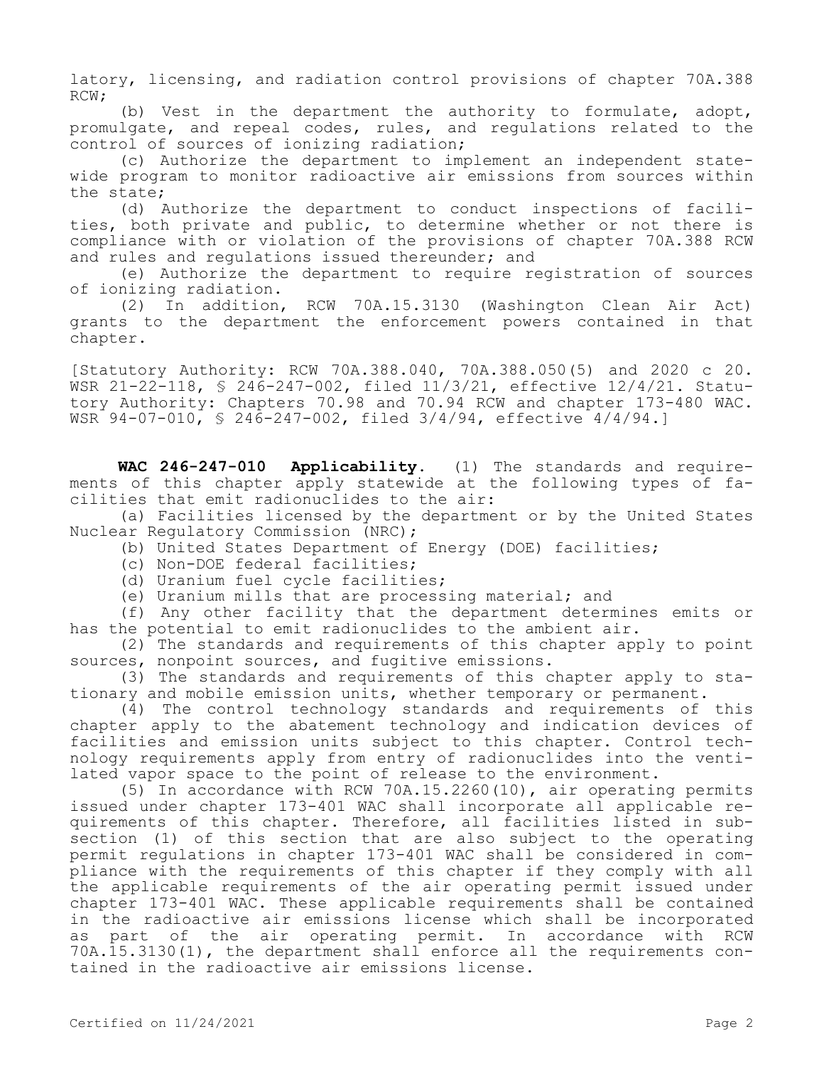latory, licensing, and radiation control provisions of chapter 70A.388 RCW;

(b) Vest in the department the authority to formulate, adopt, promulgate, and repeal codes, rules, and regulations related to the control of sources of ionizing radiation;

(c) Authorize the department to implement an independent statewide program to monitor radioactive air emissions from sources within the state;

(d) Authorize the department to conduct inspections of facilities, both private and public, to determine whether or not there is compliance with or violation of the provisions of chapter 70A.388 RCW and rules and regulations issued thereunder; and

(e) Authorize the department to require registration of sources of ionizing radiation.

(2) In addition, RCW 70A.15.3130 (Washington Clean Air Act) grants to the department the enforcement powers contained in that chapter.

[Statutory Authority: RCW 70A.388.040, 70A.388.050(5) and 2020 c 20. WSR 21-22-118, § 246-247-002, filed 11/3/21, effective 12/4/21. Statutory Authority: Chapters 70.98 and 70.94 RCW and chapter 173-480 WAC. WSR 94-07-010, § 246-247-002, filed 3/4/94, effective 4/4/94.]

**WAC 246-247-010 Applicability.** (1) The standards and requirements of this chapter apply statewide at the following types of facilities that emit radionuclides to the air:

(a) Facilities licensed by the department or by the United States Nuclear Regulatory Commission (NRC);

(b) United States Department of Energy (DOE) facilities;

- (c) Non-DOE federal facilities;
- (d) Uranium fuel cycle facilities;

(e) Uranium mills that are processing material; and

(f) Any other facility that the department determines emits or has the potential to emit radionuclides to the ambient air.

(2) The standards and requirements of this chapter apply to point sources, nonpoint sources, and fugitive emissions.

(3) The standards and requirements of this chapter apply to stationary and mobile emission units, whether temporary or permanent.

(4) The control technology standards and requirements of this chapter apply to the abatement technology and indication devices of facilities and emission units subject to this chapter. Control technology requirements apply from entry of radionuclides into the ventilated vapor space to the point of release to the environment.

(5) In accordance with RCW 70A.15.2260(10), air operating permits issued under chapter 173-401 WAC shall incorporate all applicable requirements of this chapter. Therefore, all facilities listed in subsection (1) of this section that are also subject to the operating permit regulations in chapter 173-401 WAC shall be considered in compliance with the requirements of this chapter if they comply with all the applicable requirements of the air operating permit issued under chapter 173-401 WAC. These applicable requirements shall be contained in the radioactive air emissions license which shall be incorporated as part of the air operating permit. In accordance with RCW 70A.15.3130(1), the department shall enforce all the requirements contained in the radioactive air emissions license.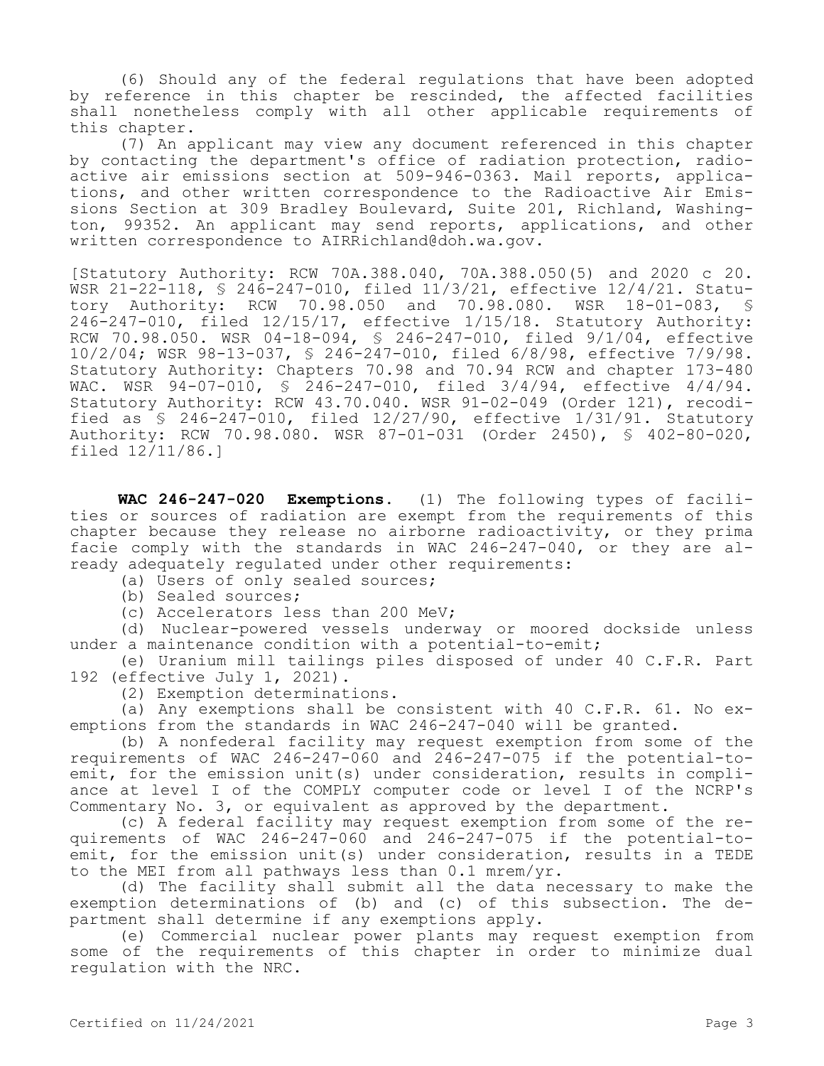(6) Should any of the federal regulations that have been adopted by reference in this chapter be rescinded, the affected facilities shall nonetheless comply with all other applicable requirements of this chapter.

(7) An applicant may view any document referenced in this chapter by contacting the department's office of radiation protection, radioactive air emissions section at 509-946-0363. Mail reports, applications, and other written correspondence to the Radioactive Air Emissions Section at 309 Bradley Boulevard, Suite 201, Richland, Washington, 99352. An applicant may send reports, applications, and other written correspondence to AIRRichland@doh.wa.gov.

[Statutory Authority: RCW 70A.388.040, 70A.388.050(5) and 2020 c 20. WSR 21-22-118, § 246-247-010, filed 11/3/21, effective 12/4/21. Statu-<br>tory Authority: RCW 70.98.050 and 70.98.080. WSR 18-01-083, § tory Authority: RCW 70.98.050 and 70.98.080. WSR 18-01-083, 246-247-010, filed 12/15/17, effective 1/15/18. Statutory Authority: RCW 70.98.050. WSR 04-18-094, § 246-247-010, filed 9/1/04, effective 10/2/04; WSR 98-13-037, § 246-247-010, filed 6/8/98, effective 7/9/98. Statutory Authority: Chapters 70.98 and 70.94 RCW and chapter 173-480 WAC. WSR 94-07-010, § 246-247-010, filed 3/4/94, effective 4/4/94. Statutory Authority: RCW 43.70.040. WSR 91-02-049 (Order 121), recodified as  $\frac{246-247-010}{100}$ , filed  $\frac{12}{27/90}$ , effective  $\frac{1}{31/91}$ . Statutory Authority: RCW 70.98.080. WSR 87-01-031 (Order 2450), § 402-80-020, filed 12/11/86.]

**WAC 246-247-020 Exemptions.** (1) The following types of facilities or sources of radiation are exempt from the requirements of this chapter because they release no airborne radioactivity, or they prima facie comply with the standards in WAC 246-247-040, or they are already adequately regulated under other requirements:

(a) Users of only sealed sources;

(b) Sealed sources;

(c) Accelerators less than 200 MeV;

(d) Nuclear-powered vessels underway or moored dockside unless under a maintenance condition with a potential-to-emit;

(e) Uranium mill tailings piles disposed of under 40 C.F.R. Part 192 (effective July 1, 2021).

(2) Exemption determinations.

(a) Any exemptions shall be consistent with 40 C.F.R. 61. No exemptions from the standards in WAC 246-247-040 will be granted.

(b) A nonfederal facility may request exemption from some of the requirements of WAC 246-247-060 and 246-247-075 if the potential-toemit, for the emission unit(s) under consideration, results in compliance at level I of the COMPLY computer code or level I of the NCRP's Commentary No. 3, or equivalent as approved by the department.

(c) A federal facility may request exemption from some of the requirements of WAC 246-247-060 and 246-247-075 if the potential-toemit, for the emission unit(s) under consideration, results in a TEDE to the MEI from all pathways less than 0.1 mrem/yr.

(d) The facility shall submit all the data necessary to make the exemption determinations of (b) and (c) of this subsection. The department shall determine if any exemptions apply.

(e) Commercial nuclear power plants may request exemption from some of the requirements of this chapter in order to minimize dual regulation with the NRC.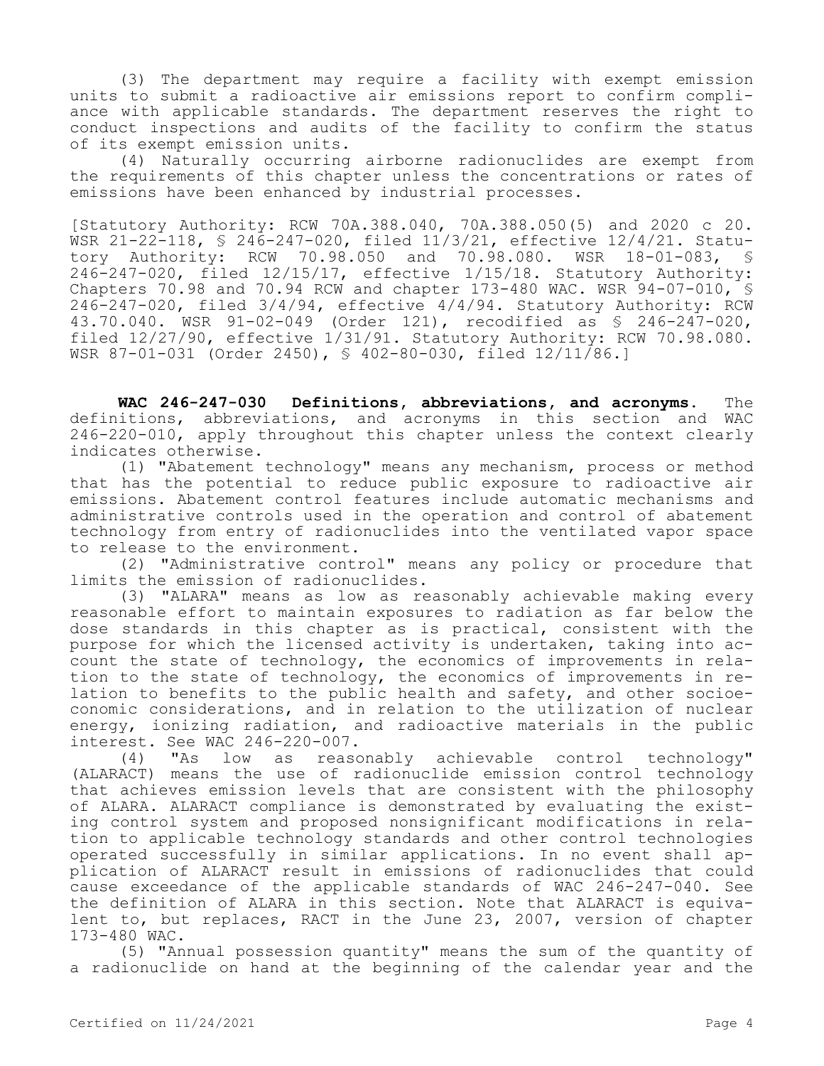(3) The department may require a facility with exempt emission units to submit a radioactive air emissions report to confirm compliance with applicable standards. The department reserves the right to conduct inspections and audits of the facility to confirm the status of its exempt emission units.

(4) Naturally occurring airborne radionuclides are exempt from the requirements of this chapter unless the concentrations or rates of emissions have been enhanced by industrial processes.

[Statutory Authority: RCW 70A.388.040, 70A.388.050(5) and 2020 c 20. WSR 21-22-118, § 246-247-020, filed 11/3/21, effective 12/4/21. Statutory Authority: RCW 70.98.050 and 70.98.080. WSR 18-01-083, § 246-247-020, filed 12/15/17, effective 1/15/18. Statutory Authority: Chapters 70.98 and 70.94 RCW and chapter 173-480 WAC. WSR 94-07-010, § 246-247-020, filed 3/4/94, effective 4/4/94. Statutory Authority: RCW 43.70.040. WSR 91-02-049 (Order 121), recodified as § 246-247-020, filed 12/27/90, effective 1/31/91. Statutory Authority: RCW 70.98.080. WSR 87-01-031 (Order 2450), § 402-80-030, filed 12/11/86.]

**WAC 246-247-030 Definitions, abbreviations, and acronyms.** The definitions, abbreviations, and acronyms in this section and WAC 246-220-010, apply throughout this chapter unless the context clearly indicates otherwise.

(1) "Abatement technology" means any mechanism, process or method that has the potential to reduce public exposure to radioactive air emissions. Abatement control features include automatic mechanisms and administrative controls used in the operation and control of abatement technology from entry of radionuclides into the ventilated vapor space to release to the environment.

(2) "Administrative control" means any policy or procedure that limits the emission of radionuclides.

(3) "ALARA" means as low as reasonably achievable making every reasonable effort to maintain exposures to radiation as far below the dose standards in this chapter as is practical, consistent with the purpose for which the licensed activity is undertaken, taking into account the state of technology, the economics of improvements in relation to the state of technology, the economics of improvements in relation to benefits to the public health and safety, and other socioeconomic considerations, and in relation to the utilization of nuclear energy, ionizing radiation, and radioactive materials in the public interest. See WAC  $246-220-007$ .<br>(4) "As low as reaso

(4) "As low as reasonably achievable control technology" (ALARACT) means the use of radionuclide emission control technology that achieves emission levels that are consistent with the philosophy of ALARA. ALARACT compliance is demonstrated by evaluating the existing control system and proposed nonsignificant modifications in relation to applicable technology standards and other control technologies operated successfully in similar applications. In no event shall application of ALARACT result in emissions of radionuclides that could cause exceedance of the applicable standards of WAC 246-247-040. See the definition of ALARA in this section. Note that ALARACT is equivalent to, but replaces, RACT in the June 23, 2007, version of chapter 173-480 WAC.

(5) "Annual possession quantity" means the sum of the quantity of a radionuclide on hand at the beginning of the calendar year and the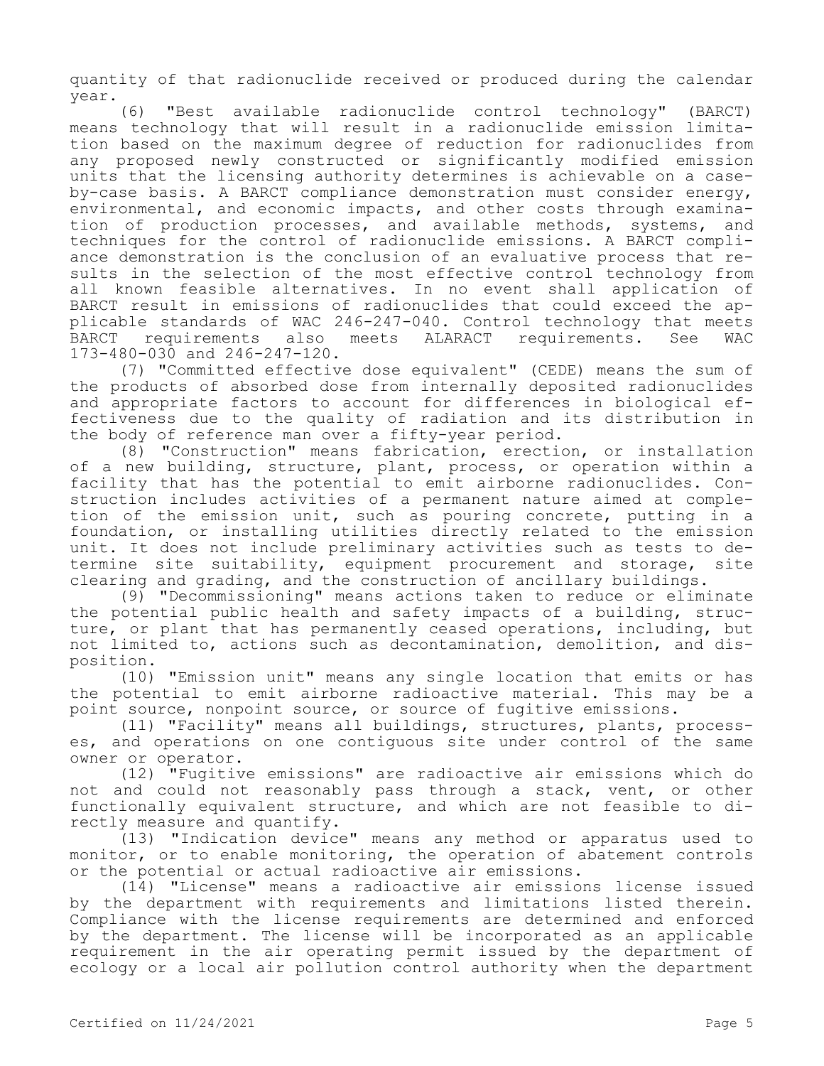quantity of that radionuclide received or produced during the calendar year.

(6) "Best available radionuclide control technology" (BARCT) means technology that will result in a radionuclide emission limitation based on the maximum degree of reduction for radionuclides from any proposed newly constructed or significantly modified emission units that the licensing authority determines is achievable on a caseby-case basis. A BARCT compliance demonstration must consider energy, environmental, and economic impacts, and other costs through examination of production processes, and available methods, systems, and techniques for the control of radionuclide emissions. A BARCT compliance demonstration is the conclusion of an evaluative process that results in the selection of the most effective control technology from all known feasible alternatives. In no event shall application of BARCT result in emissions of radionuclides that could exceed the applicable standards of WAC 246-247-040. Control technology that meets BARCT requirements also meets ALARACT requirements. See WAC 173-480-030 and 246-247-120.

(7) "Committed effective dose equivalent" (CEDE) means the sum of the products of absorbed dose from internally deposited radionuclides and appropriate factors to account for differences in biological effectiveness due to the quality of radiation and its distribution in the body of reference man over a fifty-year period.

(8) "Construction" means fabrication, erection, or installation of a new building, structure, plant, process, or operation within a facility that has the potential to emit airborne radionuclides. Construction includes activities of a permanent nature aimed at completion of the emission unit, such as pouring concrete, putting in a foundation, or installing utilities directly related to the emission unit. It does not include preliminary activities such as tests to determine site suitability, equipment procurement and storage, site clearing and grading, and the construction of ancillary buildings.

(9) "Decommissioning" means actions taken to reduce or eliminate the potential public health and safety impacts of a building, structure, or plant that has permanently ceased operations, including, but not limited to, actions such as decontamination, demolition, and disposition.

(10) "Emission unit" means any single location that emits or has the potential to emit airborne radioactive material. This may be a point source, nonpoint source, or source of fugitive emissions.

(11) "Facility" means all buildings, structures, plants, processes, and operations on one contiguous site under control of the same owner or operator.

(12) "Fugitive emissions" are radioactive air emissions which do not and could not reasonably pass through a stack, vent, or other functionally equivalent structure, and which are not feasible to directly measure and quantify.

(13) "Indication device" means any method or apparatus used to monitor, or to enable monitoring, the operation of abatement controls or the potential or actual radioactive air emissions.

(14) "License" means a radioactive air emissions license issued by the department with requirements and limitations listed therein. Compliance with the license requirements are determined and enforced by the department. The license will be incorporated as an applicable requirement in the air operating permit issued by the department of ecology or a local air pollution control authority when the department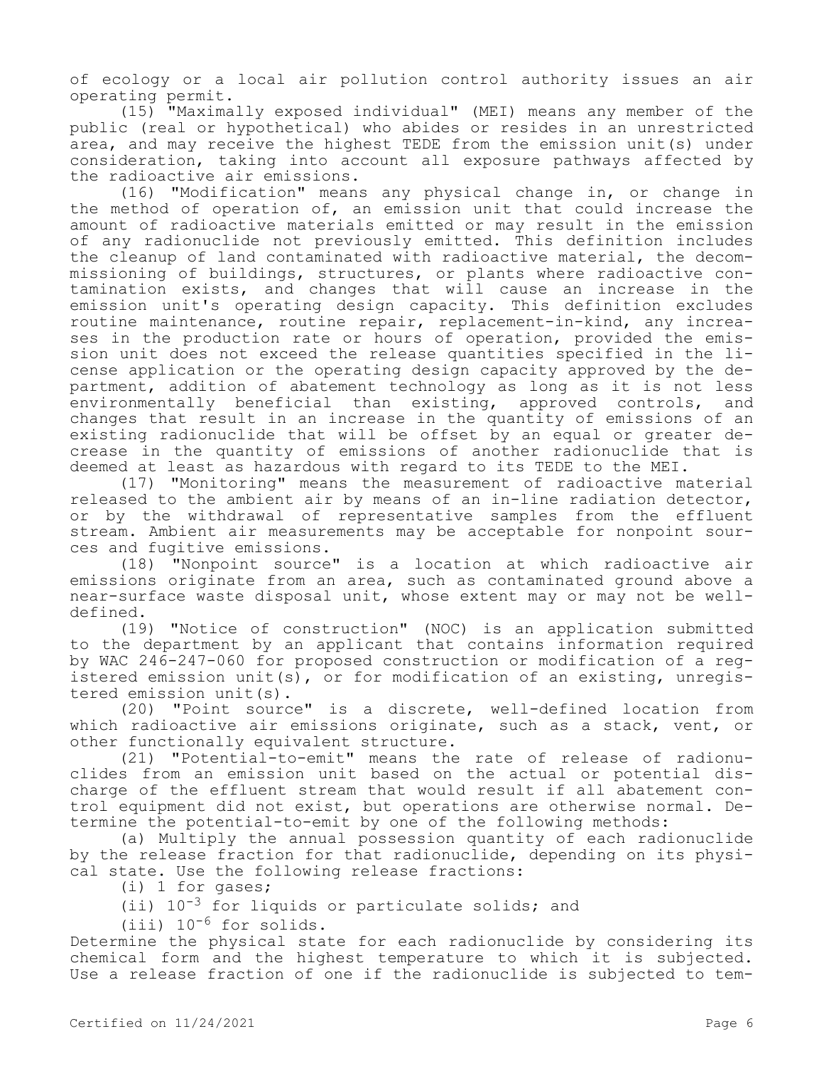of ecology or a local air pollution control authority issues an air operating permit.

(15) "Maximally exposed individual" (MEI) means any member of the public (real or hypothetical) who abides or resides in an unrestricted area, and may receive the highest TEDE from the emission unit(s) under consideration, taking into account all exposure pathways affected by the radioactive air emissions.

(16) "Modification" means any physical change in, or change in the method of operation of, an emission unit that could increase the amount of radioactive materials emitted or may result in the emission of any radionuclide not previously emitted. This definition includes the cleanup of land contaminated with radioactive material, the decommissioning of buildings, structures, or plants where radioactive contamination exists, and changes that will cause an increase in the emission unit's operating design capacity. This definition excludes routine maintenance, routine repair, replacement-in-kind, any increases in the production rate or hours of operation, provided the emission unit does not exceed the release quantities specified in the license application or the operating design capacity approved by the department, addition of abatement technology as long as it is not less environmentally beneficial than existing, approved controls, and changes that result in an increase in the quantity of emissions of an existing radionuclide that will be offset by an equal or greater decrease in the quantity of emissions of another radionuclide that is deemed at least as hazardous with regard to its TEDE to the MEI.

(17) "Monitoring" means the measurement of radioactive material released to the ambient air by means of an in-line radiation detector, or by the withdrawal of representative samples from the effluent stream. Ambient air measurements may be acceptable for nonpoint sources and fugitive emissions.

(18) "Nonpoint source" is a location at which radioactive air emissions originate from an area, such as contaminated ground above a near-surface waste disposal unit, whose extent may or may not be welldefined.

(19) "Notice of construction" (NOC) is an application submitted to the department by an applicant that contains information required by WAC 246-247-060 for proposed construction or modification of a registered emission unit(s), or for modification of an existing, unregistered emission unit(s).

(20) "Point source" is a discrete, well-defined location from which radioactive air emissions originate, such as a stack, vent, or other functionally equivalent structure.

(21) "Potential-to-emit" means the rate of release of radionuclides from an emission unit based on the actual or potential discharge of the effluent stream that would result if all abatement control equipment did not exist, but operations are otherwise normal. Determine the potential-to-emit by one of the following methods:

(a) Multiply the annual possession quantity of each radionuclide by the release fraction for that radionuclide, depending on its physical state. Use the following release fractions:

(i) 1 for gases;

(ii)  $10^{-3}$  for liquids or particulate solids; and

(iii)  $10^{-6}$  for solids.

Determine the physical state for each radionuclide by considering its chemical form and the highest temperature to which it is subjected. Use a release fraction of one if the radionuclide is subjected to tem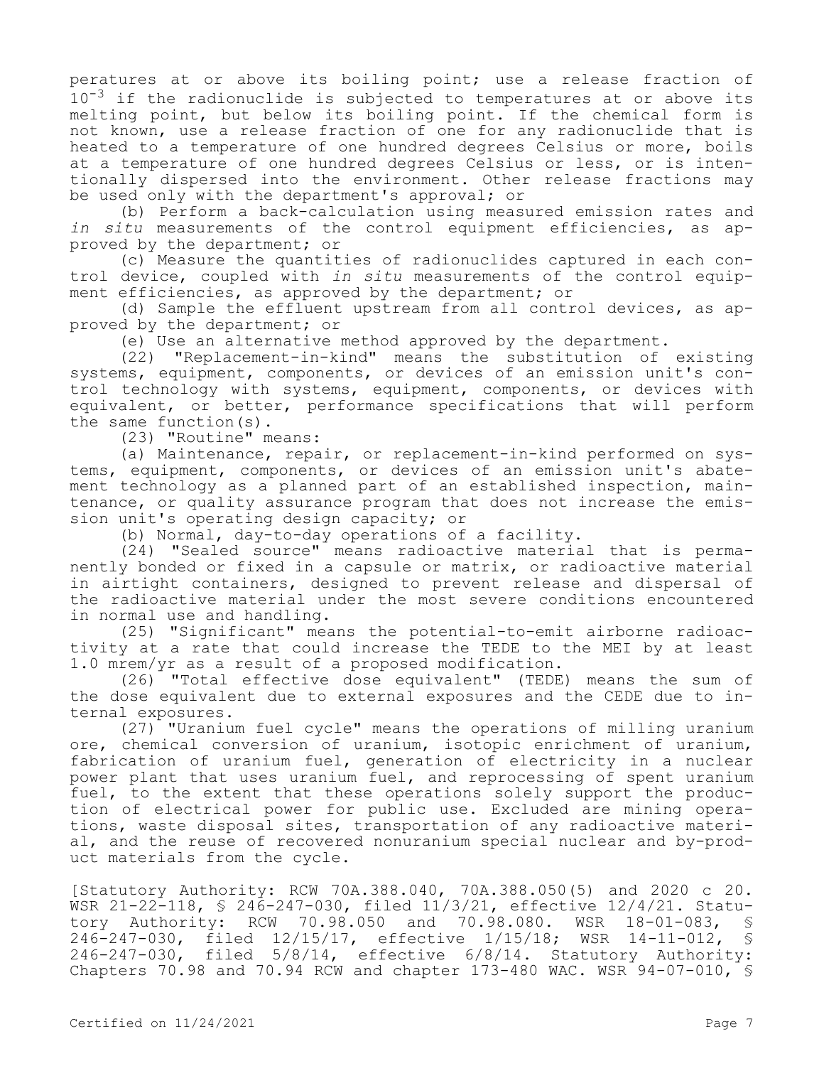peratures at or above its boiling point; use a release fraction of  $10^{-3}$  if the radionuclide is subjected to temperatures at or above its melting point, but below its boiling point. If the chemical form is not known, use a release fraction of one for any radionuclide that is heated to a temperature of one hundred degrees Celsius or more, boils at a temperature of one hundred degrees Celsius or less, or is intentionally dispersed into the environment. Other release fractions may be used only with the department's approval; or

(b) Perform a back-calculation using measured emission rates and *in situ* measurements of the control equipment efficiencies, as approved by the department; or

(c) Measure the quantities of radionuclides captured in each control device, coupled with *in situ* measurements of the control equipment efficiencies, as approved by the department; or

(d) Sample the effluent upstream from all control devices, as approved by the department; or

(e) Use an alternative method approved by the department.

(22) "Replacement-in-kind" means the substitution of existing systems, equipment, components, or devices of an emission unit's control technology with systems, equipment, components, or devices with equivalent, or better, performance specifications that will perform the same function(s).

(23) "Routine" means:

(a) Maintenance, repair, or replacement-in-kind performed on systems, equipment, components, or devices of an emission unit's abatement technology as a planned part of an established inspection, maintenance, or quality assurance program that does not increase the emission unit's operating design capacity; or

(b) Normal, day-to-day operations of a facility.

(24) "Sealed source" means radioactive material that is permanently bonded or fixed in a capsule or matrix, or radioactive material in airtight containers, designed to prevent release and dispersal of the radioactive material under the most severe conditions encountered in normal use and handling.

(25) "Significant" means the potential-to-emit airborne radioactivity at a rate that could increase the TEDE to the MEI by at least 1.0 mrem/yr as a result of a proposed modification.

(26) "Total effective dose equivalent" (TEDE) means the sum of the dose equivalent due to external exposures and the CEDE due to internal exposures.

(27) "Uranium fuel cycle" means the operations of milling uranium ore, chemical conversion of uranium, isotopic enrichment of uranium, fabrication of uranium fuel, generation of electricity in a nuclear power plant that uses uranium fuel, and reprocessing of spent uranium fuel, to the extent that these operations solely support the production of electrical power for public use. Excluded are mining operations, waste disposal sites, transportation of any radioactive material, and the reuse of recovered nonuranium special nuclear and by-product materials from the cycle.

[Statutory Authority: RCW 70A.388.040, 70A.388.050(5) and 2020 c 20. WSR 21-22-118, § 246-247-030, filed 11/3/21, effective 12/4/21. Statutory Authority: RCW 70.98.050 and 70.98.080. WSR 18-01-083, § 246-247-030, filed 12/15/17, effective 1/15/18; WSR 14-11-012, § filed  $5/8/14$ , effective  $6/8/14$ . Statutory Authority: Chapters 70.98 and 70.94 RCW and chapter 173-480 WAC. WSR 94-07-010, §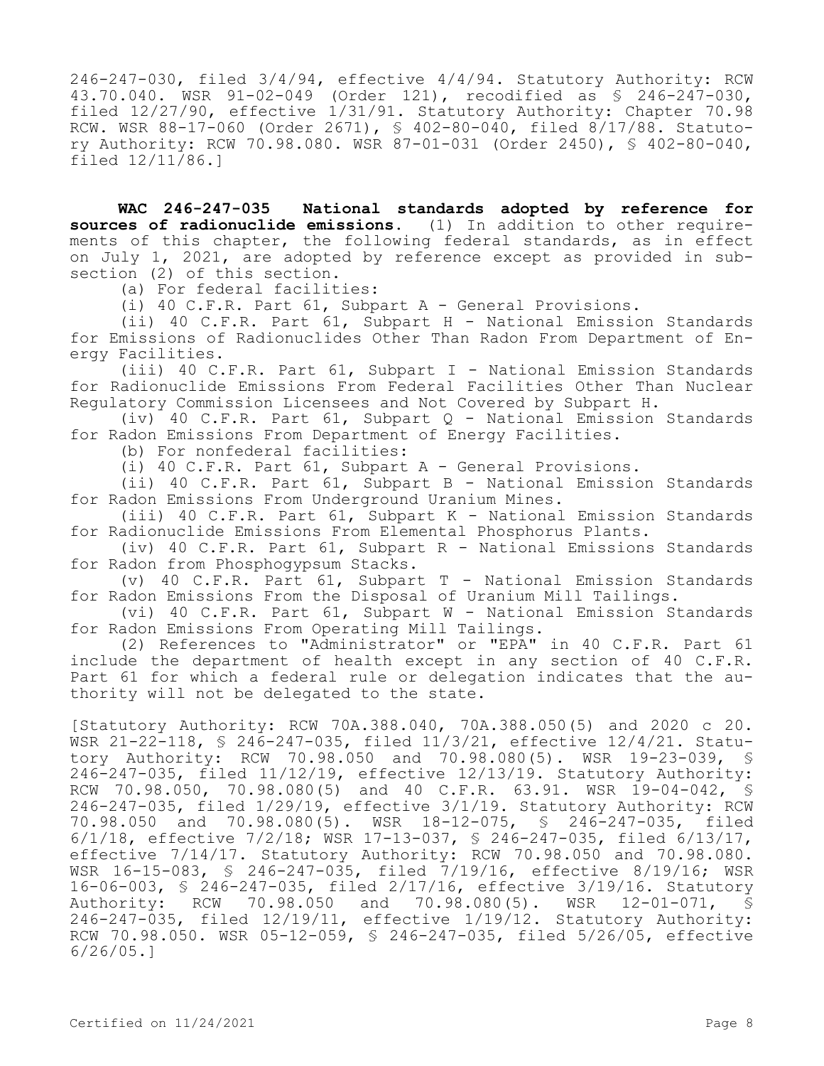246-247-030, filed 3/4/94, effective 4/4/94. Statutory Authority: RCW 43.70.040. WSR 91-02-049 (Order 121), recodified as § 246-247-030, filed 12/27/90, effective 1/31/91. Statutory Authority: Chapter 70.98 RCW. WSR 88-17-060 (Order 2671), § 402-80-040, filed 8/17/88. Statutory Authority: RCW 70.98.080. WSR 87-01-031 (Order 2450), § 402-80-040, filed 12/11/86.]

**WAC 246-247-035 National standards adopted by reference for sources of radionuclide emissions.** (1) In addition to other requirements of this chapter, the following federal standards, as in effect on July 1, 2021, are adopted by reference except as provided in subsection (2) of this section.

(a) For federal facilities:

(i) 40 C.F.R. Part 61, Subpart A - General Provisions.

(ii) 40 C.F.R. Part 61, Subpart H - National Emission Standards for Emissions of Radionuclides Other Than Radon From Department of Energy Facilities.

(iii) 40 C.F.R. Part 61, Subpart I - National Emission Standards for Radionuclide Emissions From Federal Facilities Other Than Nuclear Regulatory Commission Licensees and Not Covered by Subpart H.

(iv) 40 C.F.R. Part 61, Subpart Q - National Emission Standards for Radon Emissions From Department of Energy Facilities.

(b) For nonfederal facilities:

(i) 40 C.F.R. Part 61, Subpart A - General Provisions.

(ii) 40 C.F.R. Part 61, Subpart B - National Emission Standards for Radon Emissions From Underground Uranium Mines.

(iii) 40 C.F.R. Part 61, Subpart K - National Emission Standards for Radionuclide Emissions From Elemental Phosphorus Plants.

(iv) 40 C.F.R. Part 61, Subpart R - National Emissions Standards for Radon from Phosphogypsum Stacks.

(v) 40 C.F.R. Part 61, Subpart T - National Emission Standards for Radon Emissions From the Disposal of Uranium Mill Tailings.

(vi) 40 C.F.R. Part 61, Subpart W - National Emission Standards for Radon Emissions From Operating Mill Tailings.

(2) References to "Administrator" or "EPA" in 40 C.F.R. Part 61 include the department of health except in any section of 40 C.F.R. Part 61 for which a federal rule or delegation indicates that the authority will not be delegated to the state.

[Statutory Authority: RCW 70A.388.040, 70A.388.050(5) and 2020 c 20. WSR 21-22-118, § 246-247-035, filed 11/3/21, effective 12/4/21. Statutory Authority: RCW 70.98.050 and 70.98.080(5). WSR 19-23-039, § 246-247-035, filed 11/12/19, effective 12/13/19. Statutory Authority: RCW 70.98.050, 70.98.080(5) and 40 C.F.R. 63.91. WSR 19-04-042, § 246-247-035, filed 1/29/19, effective 3/1/19. Statutory Authority: RCW 70.98.050 and 70.98.080(5). WSR 18-12-075, § 246-247-035, filed 6/1/18, effective 7/2/18; WSR 17-13-037, § 246-247-035, filed 6/13/17, effective 7/14/17. Statutory Authority: RCW 70.98.050 and 70.98.080. WSR 16-15-083, § 246-247-035, filed 7/19/16, effective 8/19/16; WSR 16-06-003, \$ 246-247-035, filed 2/17/16, effective 3/19/16. Statutory<br>Authority: RCW 70.98.050 and 70.98.080(5). WSR 12-01-071, \$ Authority: RCW 70.98.050 and 70.98.080(5). WSR 12-01-071, § 246-247-035, filed 12/19/11, effective 1/19/12. Statutory Authority: RCW 70.98.050. WSR 05-12-059, § 246-247-035, filed 5/26/05, effective 6/26/05.]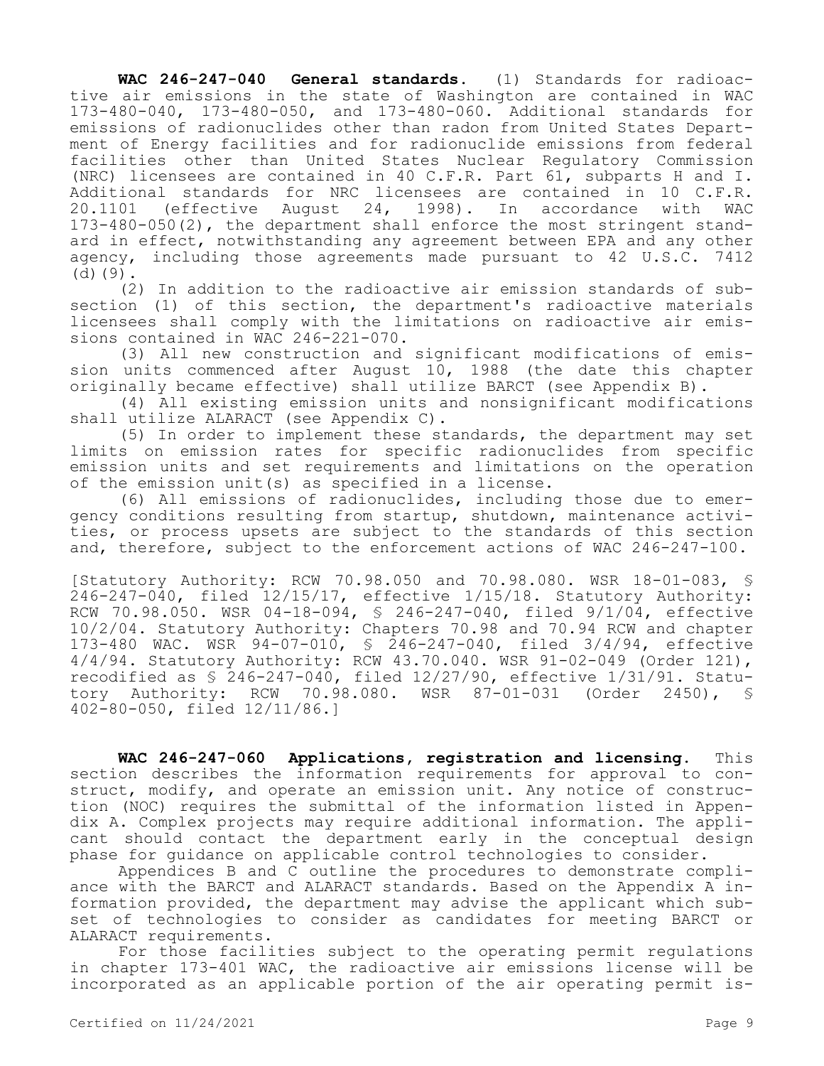**WAC 246-247-040 General standards.** (1) Standards for radioactive air emissions in the state of Washington are contained in WAC 173-480-040, 173-480-050, and 173-480-060. Additional standards for emissions of radionuclides other than radon from United States Department of Energy facilities and for radionuclide emissions from federal facilities other than United States Nuclear Regulatory Commission (NRC) licensees are contained in 40 C.F.R. Part 61, subparts H and I. Additional standards for NRC licensees are contained in 10 C.F.R.<br>20.1101 (effective August 24, 1998). In accordance with WAC 24, 1998). In accordance with WAC 173-480-050(2), the department shall enforce the most stringent standard in effect, notwithstanding any agreement between EPA and any other agency, including those agreements made pursuant to 42 U.S.C. 7412  $(d)(9)$ .

(2) In addition to the radioactive air emission standards of subsection (1) of this section, the department's radioactive materials licensees shall comply with the limitations on radioactive air emissions contained in WAC 246-221-070.

(3) All new construction and significant modifications of emission units commenced after August 10, 1988 (the date this chapter originally became effective) shall utilize BARCT (see Appendix B).

(4) All existing emission units and nonsignificant modifications shall utilize ALARACT (see Appendix C).

(5) In order to implement these standards, the department may set limits on emission rates for specific radionuclides from specific emission units and set requirements and limitations on the operation of the emission unit(s) as specified in a license.

(6) All emissions of radionuclides, including those due to emergency conditions resulting from startup, shutdown, maintenance activities, or process upsets are subject to the standards of this section and, therefore, subject to the enforcement actions of WAC 246-247-100.

[Statutory Authority: RCW 70.98.050 and 70.98.080. WSR 18-01-083, § 246-247-040, filed 12/15/17, effective 1/15/18. Statutory Authority: RCW 70.98.050. WSR 04-18-094, § 246-247-040, filed 9/1/04, effective 10/2/04. Statutory Authority: Chapters 70.98 and 70.94 RCW and chapter 173-480 WAC. WSR 94-07-010, § 246-247-040, filed 3/4/94, effective 4/4/94. Statutory Authority: RCW 43.70.040. WSR 91-02-049 (Order 121), recodified as § 246-247-040, filed 12/27/90, effective 1/31/91. Statutory Authority: RCW 70.98.080. WSR 87-01-031 (Order 2450), § 402-80-050, filed 12/11/86.]

**WAC 246-247-060 Applications, registration and licensing.** This section describes the information requirements for approval to construct, modify, and operate an emission unit. Any notice of construction (NOC) requires the submittal of the information listed in Appendix A. Complex projects may require additional information. The applicant should contact the department early in the conceptual design phase for guidance on applicable control technologies to consider.

Appendices B and C outline the procedures to demonstrate compliance with the BARCT and ALARACT standards. Based on the Appendix A information provided, the department may advise the applicant which subset of technologies to consider as candidates for meeting BARCT or ALARACT requirements.

For those facilities subject to the operating permit regulations in chapter 173-401 WAC, the radioactive air emissions license will be incorporated as an applicable portion of the air operating permit is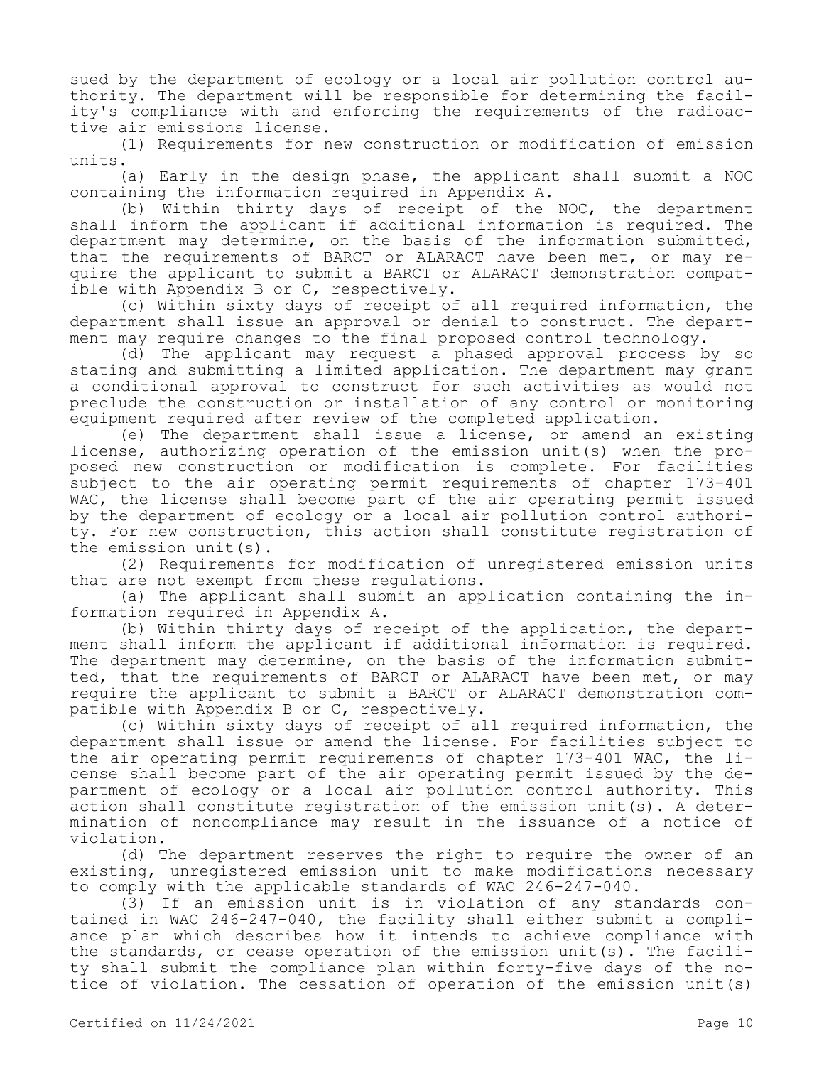sued by the department of ecology or a local air pollution control authority. The department will be responsible for determining the facility's compliance with and enforcing the requirements of the radioactive air emissions license.

(1) Requirements for new construction or modification of emission units.

(a) Early in the design phase, the applicant shall submit a NOC containing the information required in Appendix A.

(b) Within thirty days of receipt of the NOC, the department shall inform the applicant if additional information is required. The department may determine, on the basis of the information submitted, that the requirements of BARCT or ALARACT have been met, or may require the applicant to submit a BARCT or ALARACT demonstration compatible with Appendix B or C, respectively.

(c) Within sixty days of receipt of all required information, the department shall issue an approval or denial to construct. The department may require changes to the final proposed control technology.

(d) The applicant may request a phased approval process by so stating and submitting a limited application. The department may grant a conditional approval to construct for such activities as would not preclude the construction or installation of any control or monitoring equipment required after review of the completed application.

(e) The department shall issue a license, or amend an existing license, authorizing operation of the emission unit(s) when the proposed new construction or modification is complete. For facilities subject to the air operating permit requirements of chapter 173-401 WAC, the license shall become part of the air operating permit issued by the department of ecology or a local air pollution control authority. For new construction, this action shall constitute registration of the emission unit(s).

(2) Requirements for modification of unregistered emission units that are not exempt from these regulations.

(a) The applicant shall submit an application containing the information required in Appendix A.

(b) Within thirty days of receipt of the application, the department shall inform the applicant if additional information is required. The department may determine, on the basis of the information submitted, that the requirements of BARCT or ALARACT have been met, or may require the applicant to submit a BARCT or ALARACT demonstration compatible with Appendix B or C, respectively.

(c) Within sixty days of receipt of all required information, the department shall issue or amend the license. For facilities subject to the air operating permit requirements of chapter 173-401 WAC, the license shall become part of the air operating permit issued by the department of ecology or a local air pollution control authority. This action shall constitute registration of the emission unit(s). A determination of noncompliance may result in the issuance of a notice of violation.

(d) The department reserves the right to require the owner of an existing, unregistered emission unit to make modifications necessary to comply with the applicable standards of WAC 246-247-040.

(3) If an emission unit is in violation of any standards contained in WAC 246-247-040, the facility shall either submit a compliance plan which describes how it intends to achieve compliance with the standards, or cease operation of the emission unit(s). The facility shall submit the compliance plan within forty-five days of the notice of violation. The cessation of operation of the emission unit(s)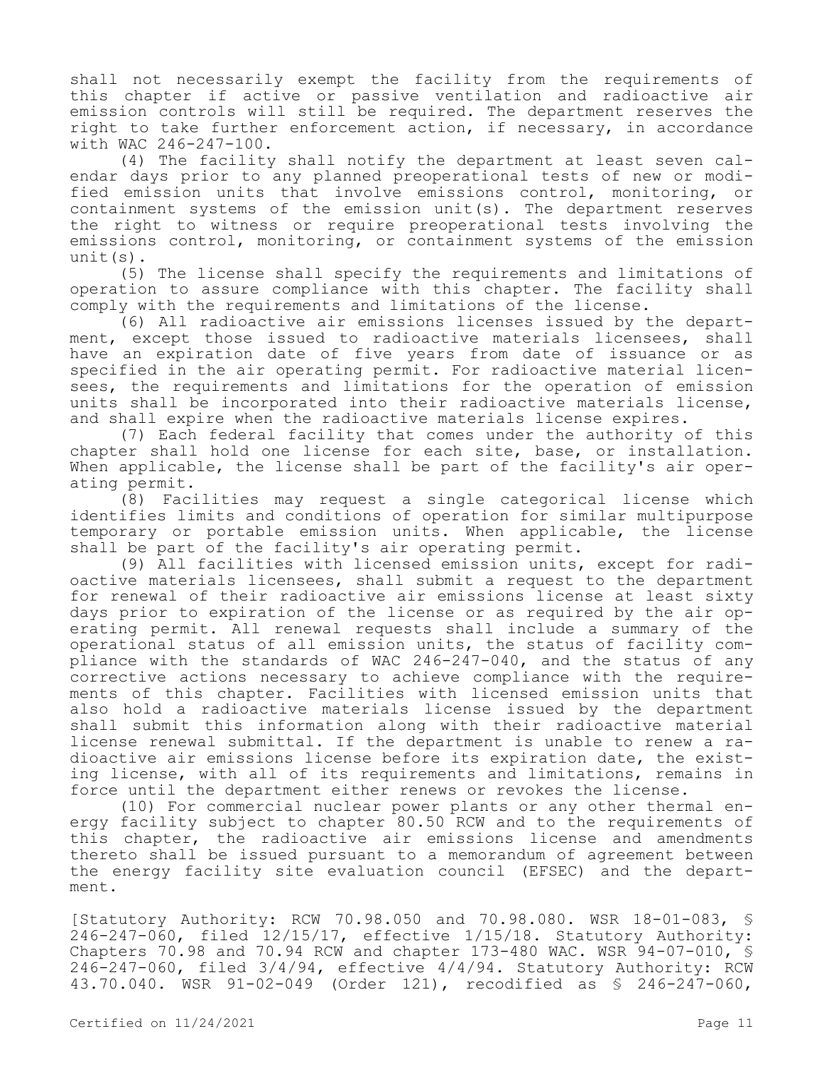shall not necessarily exempt the facility from the requirements of this chapter if active or passive ventilation and radioactive air emission controls will still be required. The department reserves the right to take further enforcement action, if necessary, in accordance with WAC 246-247-100.

(4) The facility shall notify the department at least seven calendar days prior to any planned preoperational tests of new or modified emission units that involve emissions control, monitoring, or containment systems of the emission unit(s). The department reserves the right to witness or require preoperational tests involving the emissions control, monitoring, or containment systems of the emission unit(s).

(5) The license shall specify the requirements and limitations of operation to assure compliance with this chapter. The facility shall comply with the requirements and limitations of the license.

(6) All radioactive air emissions licenses issued by the department, except those issued to radioactive materials licensees, shall have an expiration date of five years from date of issuance or as specified in the air operating permit. For radioactive material licensees, the requirements and limitations for the operation of emission units shall be incorporated into their radioactive materials license, and shall expire when the radioactive materials license expires.

(7) Each federal facility that comes under the authority of this chapter shall hold one license for each site, base, or installation. When applicable, the license shall be part of the facility's air operating permit.

(8) Facilities may request a single categorical license which identifies limits and conditions of operation for similar multipurpose temporary or portable emission units. When applicable, the license shall be part of the facility's air operating permit.

(9) All facilities with licensed emission units, except for radioactive materials licensees, shall submit a request to the department for renewal of their radioactive air emissions license at least sixty days prior to expiration of the license or as required by the air operating permit. All renewal requests shall include a summary of the operational status of all emission units, the status of facility compliance with the standards of WAC 246-247-040, and the status of any corrective actions necessary to achieve compliance with the requirements of this chapter. Facilities with licensed emission units that also hold a radioactive materials license issued by the department shall submit this information along with their radioactive material license renewal submittal. If the department is unable to renew a radioactive air emissions license before its expiration date, the existing license, with all of its requirements and limitations, remains in force until the department either renews or revokes the license.

(10) For commercial nuclear power plants or any other thermal energy facility subject to chapter 80.50 RCW and to the requirements of this chapter, the radioactive air emissions license and amendments thereto shall be issued pursuant to a memorandum of agreement between the energy facility site evaluation council (EFSEC) and the department.

[Statutory Authority: RCW 70.98.050 and 70.98.080. WSR 18-01-083, § 246-247-060, filed 12/15/17, effective 1/15/18. Statutory Authority: Chapters 70.98 and 70.94 RCW and chapter 173-480 WAC. WSR 94-07-010, § 246-247-060, filed 3/4/94, effective 4/4/94. Statutory Authority: RCW 43.70.040. WSR 91-02-049 (Order 121), recodified as § 246-247-060,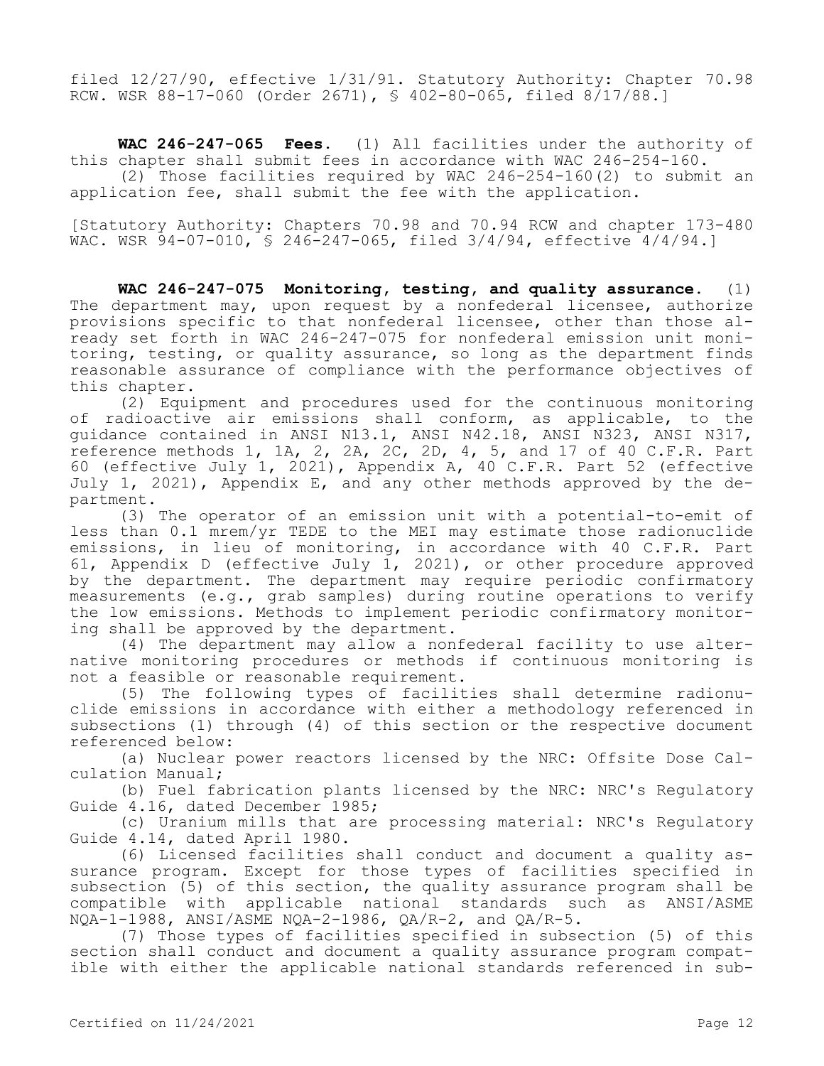filed 12/27/90, effective 1/31/91. Statutory Authority: Chapter 70.98 RCW. WSR 88-17-060 (Order 2671), § 402-80-065, filed 8/17/88.]

**WAC 246-247-065 Fees.** (1) All facilities under the authority of this chapter shall submit fees in accordance with WAC 246-254-160.

(2) Those facilities required by WAC 246-254-160(2) to submit an application fee, shall submit the fee with the application.

[Statutory Authority: Chapters 70.98 and 70.94 RCW and chapter 173-480 WAC. WSR 94-07-010, § 246-247-065, filed 3/4/94, effective 4/4/94.]

**WAC 246-247-075 Monitoring, testing, and quality assurance.** (1) The department may, upon request by a nonfederal licensee, authorize provisions specific to that nonfederal licensee, other than those already set forth in WAC 246-247-075 for nonfederal emission unit monitoring, testing, or quality assurance, so long as the department finds reasonable assurance of compliance with the performance objectives of this chapter.

(2) Equipment and procedures used for the continuous monitoring of radioactive air emissions shall conform, as applicable, to the guidance contained in ANSI N13.1, ANSI N42.18, ANSI N323, ANSI N317, reference methods 1, 1A, 2, 2A, 2C, 2D, 4, 5, and 17 of 40 C.F.R. Part 60 (effective July 1, 2021), Appendix A, 40 C.F.R. Part 52 (effective July 1, 2021), Appendix E, and any other methods approved by the department.

(3) The operator of an emission unit with a potential-to-emit of less than 0.1 mrem/yr TEDE to the MEI may estimate those radionuclide emissions, in lieu of monitoring, in accordance with 40 C.F.R. Part 61, Appendix D (effective July 1, 2021), or other procedure approved by the department. The department may require periodic confirmatory measurements (e.g., grab samples) during routine operations to verify the low emissions. Methods to implement periodic confirmatory monitoring shall be approved by the department.

(4) The department may allow a nonfederal facility to use alternative monitoring procedures or methods if continuous monitoring is not a feasible or reasonable requirement.

(5) The following types of facilities shall determine radionuclide emissions in accordance with either a methodology referenced in subsections (1) through (4) of this section or the respective document referenced below:

(a) Nuclear power reactors licensed by the NRC: Offsite Dose Calculation Manual;

(b) Fuel fabrication plants licensed by the NRC: NRC's Regulatory Guide 4.16, dated December 1985;

(c) Uranium mills that are processing material: NRC's Regulatory Guide 4.14, dated April 1980.

(6) Licensed facilities shall conduct and document a quality assurance program. Except for those types of facilities specified in subsection (5) of this section, the quality assurance program shall be compatible with applicable national standards such as ANSI/ASME  $NOA-1-1988$ ,  $ANSI/ASME NOA-2-1986$ ,  $OA/R-2$ , and  $OA/R-5$ .

(7) Those types of facilities specified in subsection (5) of this section shall conduct and document a quality assurance program compatible with either the applicable national standards referenced in sub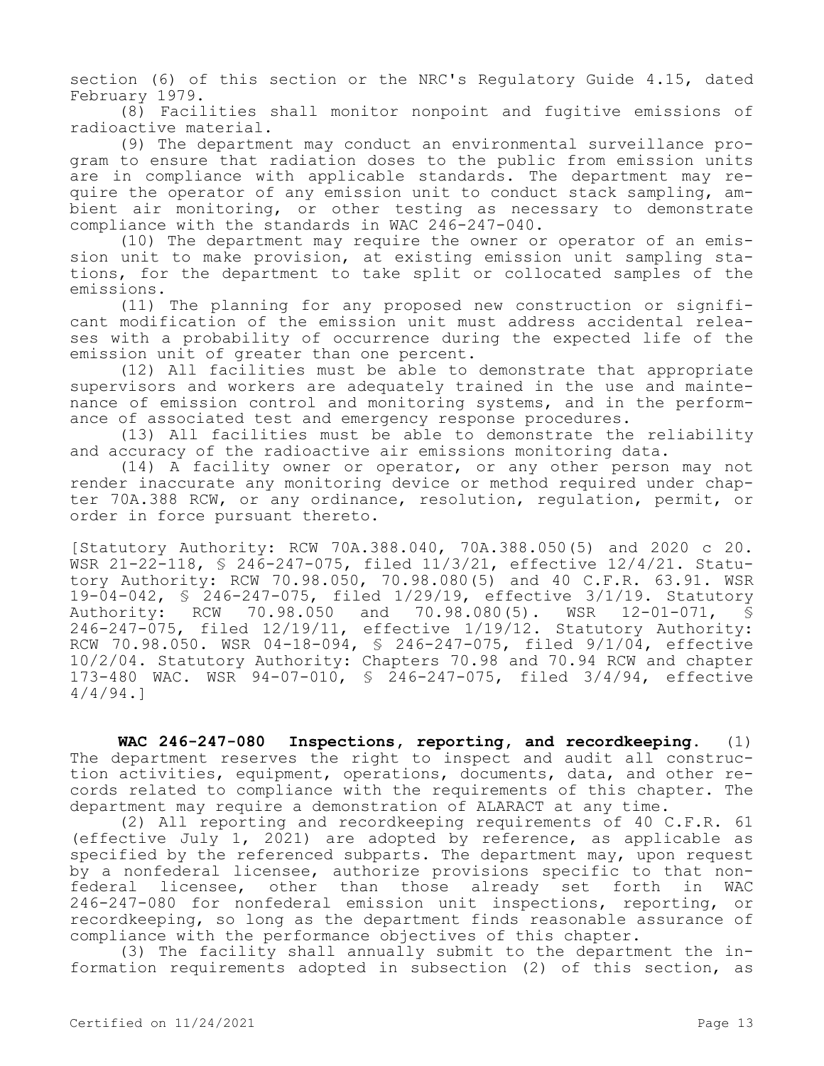section (6) of this section or the NRC's Regulatory Guide 4.15, dated February 1979.

(8) Facilities shall monitor nonpoint and fugitive emissions of radioactive material.

(9) The department may conduct an environmental surveillance program to ensure that radiation doses to the public from emission units are in compliance with applicable standards. The department may require the operator of any emission unit to conduct stack sampling, ambient air monitoring, or other testing as necessary to demonstrate compliance with the standards in WAC 246-247-040.

(10) The department may require the owner or operator of an emission unit to make provision, at existing emission unit sampling stations, for the department to take split or collocated samples of the emissions.

(11) The planning for any proposed new construction or significant modification of the emission unit must address accidental releases with a probability of occurrence during the expected life of the emission unit of greater than one percent.

(12) All facilities must be able to demonstrate that appropriate supervisors and workers are adequately trained in the use and maintenance of emission control and monitoring systems, and in the performance of associated test and emergency response procedures.

(13) All facilities must be able to demonstrate the reliability and accuracy of the radioactive air emissions monitoring data.

(14) A facility owner or operator, or any other person may not render inaccurate any monitoring device or method required under chapter 70A.388 RCW, or any ordinance, resolution, regulation, permit, or order in force pursuant thereto.

[Statutory Authority: RCW 70A.388.040, 70A.388.050(5) and 2020 c 20. WSR 21-22-118, § 246-247-075, filed 11/3/21, effective 12/4/21. Statutory Authority: RCW 70.98.050, 70.98.080(5) and 40 C.F.R. 63.91. WSR 19-04-042, § 246-247-075, filed 1/29/19, effective 3/1/19. Statutory Authority: RCW 70.98.050 and 70.98.080(5). WSR 12-01-071, § 246-247-075, filed 12/19/11, effective 1/19/12. Statutory Authority: RCW 70.98.050. WSR 04-18-094, § 246-247-075, filed 9/1/04, effective 10/2/04. Statutory Authority: Chapters 70.98 and 70.94 RCW and chapter 173-480 WAC. WSR 94-07-010, § 246-247-075, filed 3/4/94, effective 4/4/94.]

**WAC 246-247-080 Inspections, reporting, and recordkeeping.** (1) The department reserves the right to inspect and audit all construction activities, equipment, operations, documents, data, and other records related to compliance with the requirements of this chapter. The department may require a demonstration of ALARACT at any time.

(2) All reporting and recordkeeping requirements of 40 C.F.R. 61 (effective July 1, 2021) are adopted by reference, as applicable as specified by the referenced subparts. The department may, upon request by a nonfederal licensee, authorize provisions specific to that nonfederal licensee, other than those already set forth in WAC 246-247-080 for nonfederal emission unit inspections, reporting, or recordkeeping, so long as the department finds reasonable assurance of compliance with the performance objectives of this chapter.

(3) The facility shall annually submit to the department the information requirements adopted in subsection (2) of this section, as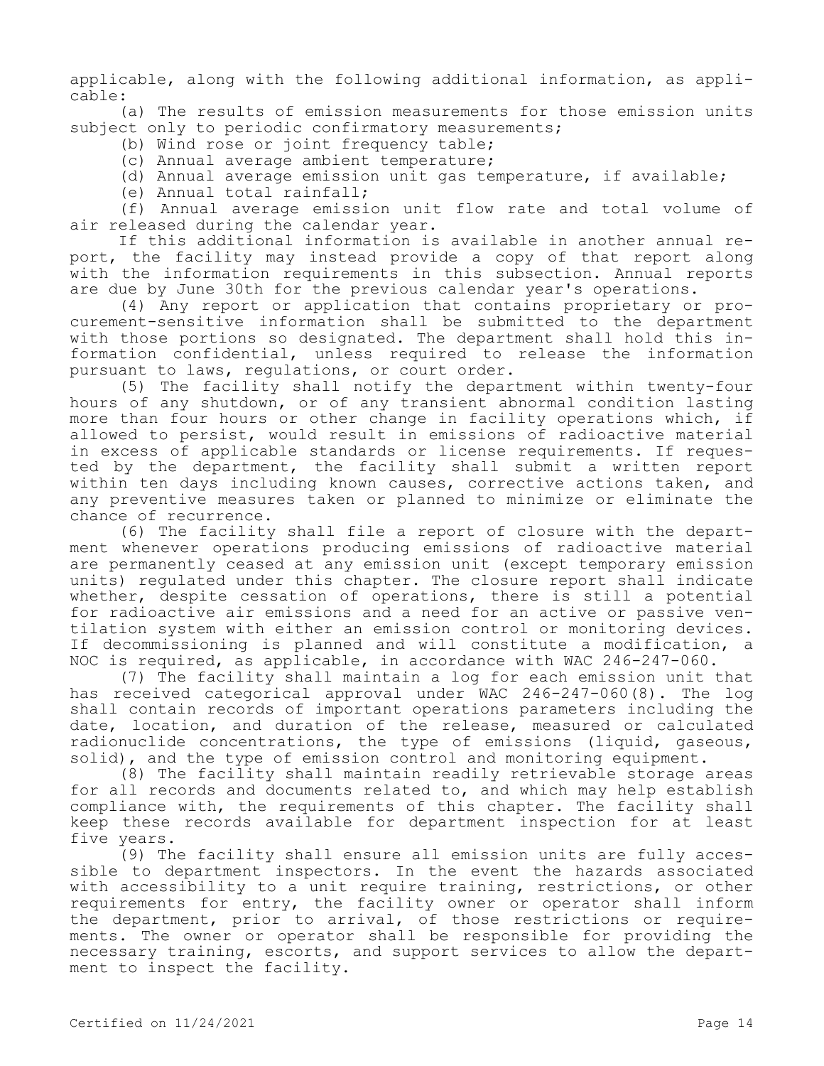applicable, along with the following additional information, as applicable:

(a) The results of emission measurements for those emission units subject only to periodic confirmatory measurements;

- (b) Wind rose or joint frequency table;
- (c) Annual average ambient temperature;
- (d) Annual average emission unit gas temperature, if available;
- (e) Annual total rainfall;

(f) Annual average emission unit flow rate and total volume of air released during the calendar year.

If this additional information is available in another annual report, the facility may instead provide a copy of that report along with the information requirements in this subsection. Annual reports are due by June 30th for the previous calendar year's operations.

(4) Any report or application that contains proprietary or procurement-sensitive information shall be submitted to the department with those portions so designated. The department shall hold this information confidential, unless required to release the information pursuant to laws, regulations, or court order.

(5) The facility shall notify the department within twenty-four hours of any shutdown, or of any transient abnormal condition lasting more than four hours or other change in facility operations which, if allowed to persist, would result in emissions of radioactive material in excess of applicable standards or license requirements. If requested by the department, the facility shall submit a written report within ten days including known causes, corrective actions taken, and any preventive measures taken or planned to minimize or eliminate the chance of recurrence.

(6) The facility shall file a report of closure with the department whenever operations producing emissions of radioactive material are permanently ceased at any emission unit (except temporary emission units) regulated under this chapter. The closure report shall indicate whether, despite cessation of operations, there is still a potential for radioactive air emissions and a need for an active or passive ventilation system with either an emission control or monitoring devices. If decommissioning is planned and will constitute a modification, a NOC is required, as applicable, in accordance with WAC 246-247-060.

(7) The facility shall maintain a log for each emission unit that has received categorical approval under WAC 246-247-060(8). The log shall contain records of important operations parameters including the date, location, and duration of the release, measured or calculated radionuclide concentrations, the type of emissions (liquid, gaseous, solid), and the type of emission control and monitoring equipment.

(8) The facility shall maintain readily retrievable storage areas for all records and documents related to, and which may help establish compliance with, the requirements of this chapter. The facility shall keep these records available for department inspection for at least five years.

(9) The facility shall ensure all emission units are fully accessible to department inspectors. In the event the hazards associated with accessibility to a unit require training, restrictions, or other requirements for entry, the facility owner or operator shall inform the department, prior to arrival, of those restrictions or requirements. The owner or operator shall be responsible for providing the necessary training, escorts, and support services to allow the department to inspect the facility.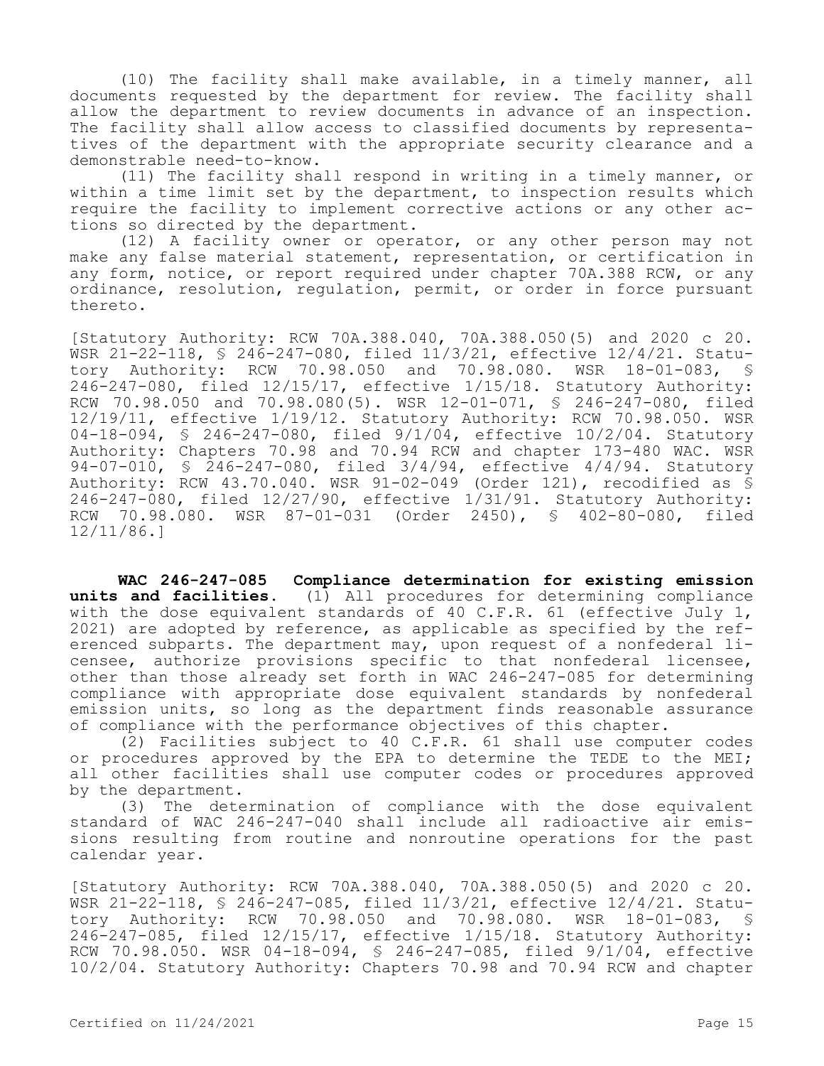(10) The facility shall make available, in a timely manner, all documents requested by the department for review. The facility shall allow the department to review documents in advance of an inspection. The facility shall allow access to classified documents by representatives of the department with the appropriate security clearance and a demonstrable need-to-know.

(11) The facility shall respond in writing in a timely manner, or within a time limit set by the department, to inspection results which require the facility to implement corrective actions or any other actions so directed by the department.

(12) A facility owner or operator, or any other person may not make any false material statement, representation, or certification in any form, notice, or report required under chapter 70A.388 RCW, or any ordinance, resolution, regulation, permit, or order in force pursuant thereto.

[Statutory Authority: RCW 70A.388.040, 70A.388.050(5) and 2020 c 20. WSR 21-22-118, § 246-247-080, filed 11/3/21, effective 12/4/21. Statu-<br>tory Authority: RCW 70.98.050 and 70.98.080. WSR 18-01-083, § tory Authority: RCW 70.98.050 and 70.98.080. WSR 18-01-083, 246-247-080, filed 12/15/17, effective 1/15/18. Statutory Authority: RCW 70.98.050 and 70.98.080(5). WSR 12-01-071, § 246-247-080, filed 12/19/11, effective 1/19/12. Statutory Authority: RCW 70.98.050. WSR 04-18-094, § 246-247-080, filed 9/1/04, effective 10/2/04. Statutory Authority: Chapters 70.98 and 70.94 RCW and chapter 173-480 WAC. WSR 94-07-010, § 246-247-080, filed 3/4/94, effective 4/4/94. Statutory Authority: RCW 43.70.040. WSR 91-02-049 (Order 121), recodified as § 246-247-080, filed 12/27/90, effective 1/31/91. Statutory Authority: RCW 70.98.080. WSR 87-01-031 (Order 2450), § 402-80-080, filed 12/11/86.]

**WAC 246-247-085 Compliance determination for existing emission units and facilities.** (1) All procedures for determining compliance with the dose equivalent standards of 40 C.F.R. 61 (effective July 1, 2021) are adopted by reference, as applicable as specified by the referenced subparts. The department may, upon request of a nonfederal licensee, authorize provisions specific to that nonfederal licensee, other than those already set forth in WAC 246-247-085 for determining compliance with appropriate dose equivalent standards by nonfederal emission units, so long as the department finds reasonable assurance of compliance with the performance objectives of this chapter.

(2) Facilities subject to 40 C.F.R. 61 shall use computer codes or procedures approved by the EPA to determine the TEDE to the MEI; all other facilities shall use computer codes or procedures approved by the department.

(3) The determination of compliance with the dose equivalent standard of WAC 246-247-040 shall include all radioactive air emissions resulting from routine and nonroutine operations for the past calendar year.

[Statutory Authority: RCW 70A.388.040, 70A.388.050(5) and 2020 c 20. WSR 21-22-118, § 246-247-085, filed 11/3/21, effective 12/4/21. Statutory Authority: RCW 70.98.050 and 70.98.080. WSR 18-01-083, § 246-247-085, filed 12/15/17, effective 1/15/18. Statutory Authority: RCW 70.98.050. WSR 04-18-094, § 246-247-085, filed 9/1/04, effective 10/2/04. Statutory Authority: Chapters 70.98 and 70.94 RCW and chapter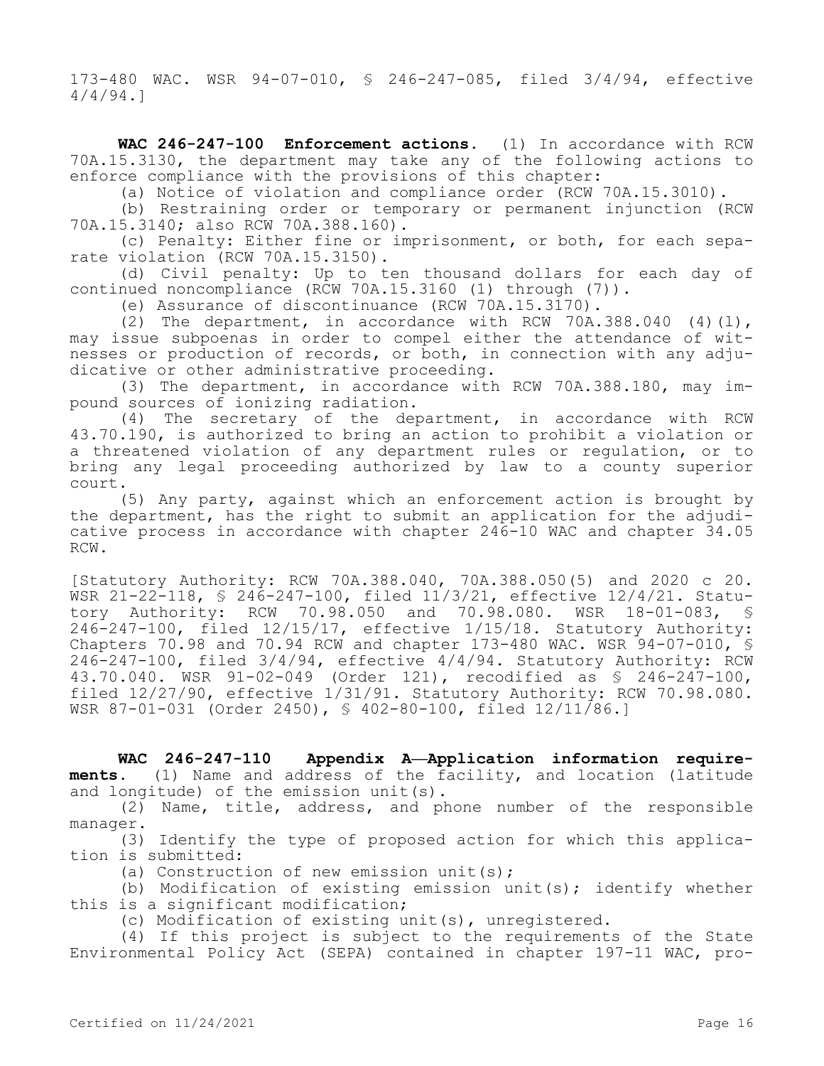173-480 WAC. WSR 94-07-010, § 246-247-085, filed 3/4/94, effective 4/4/94.]

**WAC 246-247-100 Enforcement actions.** (1) In accordance with RCW 70A.15.3130, the department may take any of the following actions to enforce compliance with the provisions of this chapter:

(a) Notice of violation and compliance order (RCW 70A.15.3010).

(b) Restraining order or temporary or permanent injunction (RCW 70A.15.3140; also RCW 70A.388.160).

(c) Penalty: Either fine or imprisonment, or both, for each separate violation (RCW 70A.15.3150).

(d) Civil penalty: Up to ten thousand dollars for each day of continued noncompliance (RCW 70A.15.3160 (1) through (7)).

(e) Assurance of discontinuance (RCW 70A.15.3170).

(2) The department, in accordance with RCW 70A.388.040  $(4)(1)$ , may issue subpoenas in order to compel either the attendance of witnesses or production of records, or both, in connection with any adjudicative or other administrative proceeding.

(3) The department, in accordance with RCW 70A.388.180, may impound sources of ionizing radiation.

(4) The secretary of the department, in accordance with RCW 43.70.190, is authorized to bring an action to prohibit a violation or a threatened violation of any department rules or regulation, or to bring any legal proceeding authorized by law to a county superior court.

(5) Any party, against which an enforcement action is brought by the department, has the right to submit an application for the adjudicative process in accordance with chapter 246-10 WAC and chapter 34.05 RCW.

[Statutory Authority: RCW 70A.388.040, 70A.388.050(5) and 2020 c 20. WSR 21-22-118, § 246-247-100, filed 11/3/21, effective 12/4/21. Statutory Authority: RCW 70.98.050 and 70.98.080. WSR 18-01-083, § 246-247-100, filed 12/15/17, effective 1/15/18. Statutory Authority: Chapters 70.98 and 70.94 RCW and chapter 173-480 WAC. WSR 94-07-010, § 246-247-100, filed 3/4/94, effective 4/4/94. Statutory Authority: RCW 43.70.040. WSR 91-02-049 (Order 121), recodified as § 246-247-100, filed 12/27/90, effective 1/31/91. Statutory Authority: RCW 70.98.080. WSR 87-01-031 (Order 2450), § 402-80-100, filed 12/11/86.]

**WAC 246-247-110 Appendix A—Application information requirements.** (1) Name and address of the facility, and location (latitude and longitude) of the emission unit(s).

(2) Name, title, address, and phone number of the responsible manager.

(3) Identify the type of proposed action for which this application is submitted:

(a) Construction of new emission unit(s);

(b) Modification of existing emission unit(s); identify whether this is a significant modification;

(c) Modification of existing unit(s), unregistered.

(4) If this project is subject to the requirements of the State Environmental Policy Act (SEPA) contained in chapter 197-11 WAC, pro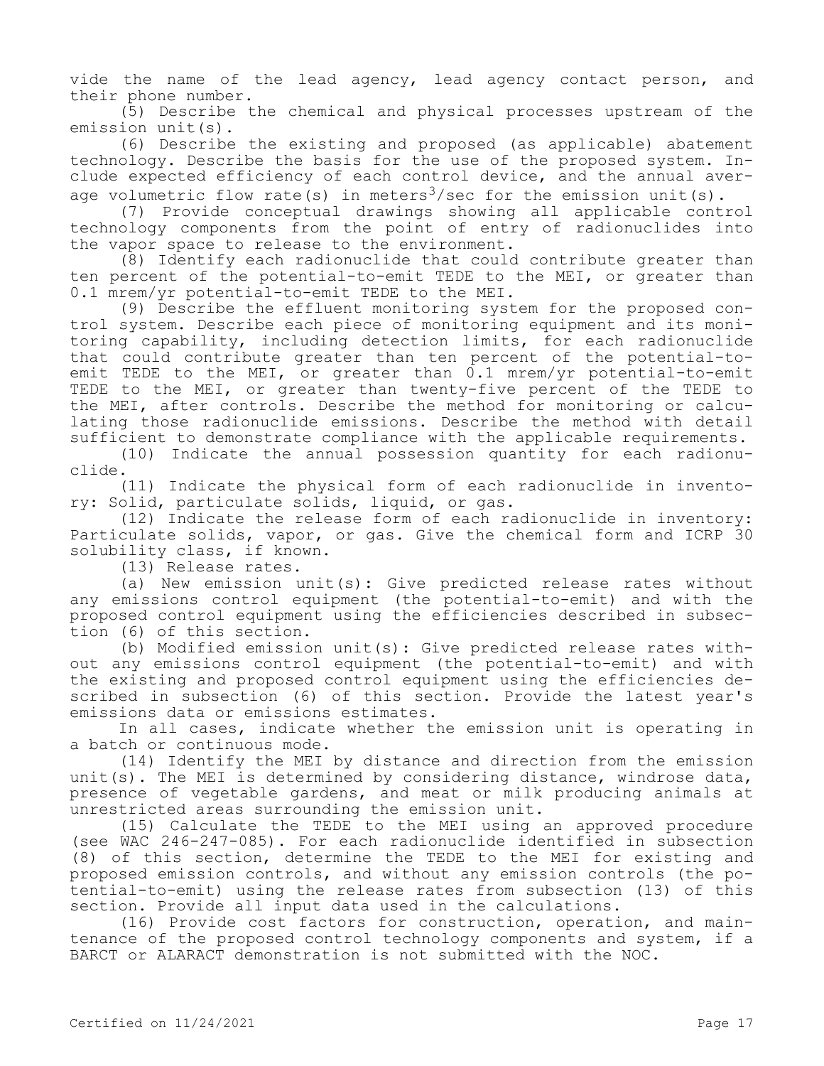vide the name of the lead agency, lead agency contact person, and their phone number.

(5) Describe the chemical and physical processes upstream of the emission unit(s).

(6) Describe the existing and proposed (as applicable) abatement technology. Describe the basis for the use of the proposed system. Include expected efficiency of each control device, and the annual average volumetric flow rate(s) in meters<sup>3</sup>/sec for the emission unit(s).

(7) Provide conceptual drawings showing all applicable control technology components from the point of entry of radionuclides into the vapor space to release to the environment.

(8) Identify each radionuclide that could contribute greater than ten percent of the potential-to-emit TEDE to the MEI, or greater than 0.1 mrem/yr potential-to-emit TEDE to the MEI.

(9) Describe the effluent monitoring system for the proposed control system. Describe each piece of monitoring equipment and its monitoring capability, including detection limits, for each radionuclide that could contribute greater than ten percent of the potential-toemit TEDE to the MEI, or greater than 0.1 mrem/yr potential-to-emit TEDE to the MEI, or greater than twenty-five percent of the TEDE to the MEI, after controls. Describe the method for monitoring or calculating those radionuclide emissions. Describe the method with detail sufficient to demonstrate compliance with the applicable requirements.

(10) Indicate the annual possession quantity for each radionuclide.

(11) Indicate the physical form of each radionuclide in inventory: Solid, particulate solids, liquid, or gas.

(12) Indicate the release form of each radionuclide in inventory: Particulate solids, vapor, or gas. Give the chemical form and ICRP 30 solubility class, if known.

(13) Release rates.

(a) New emission unit(s): Give predicted release rates without any emissions control equipment (the potential-to-emit) and with the proposed control equipment using the efficiencies described in subsection (6) of this section.

(b) Modified emission unit(s): Give predicted release rates without any emissions control equipment (the potential-to-emit) and with the existing and proposed control equipment using the efficiencies described in subsection (6) of this section. Provide the latest year's emissions data or emissions estimates.

In all cases, indicate whether the emission unit is operating in a batch or continuous mode.

(14) Identify the MEI by distance and direction from the emission unit(s). The MEI is determined by considering distance, windrose data, presence of vegetable gardens, and meat or milk producing animals at unrestricted areas surrounding the emission unit.

(15) Calculate the TEDE to the MEI using an approved procedure (see WAC 246-247-085). For each radionuclide identified in subsection (8) of this section, determine the TEDE to the MEI for existing and proposed emission controls, and without any emission controls (the potential-to-emit) using the release rates from subsection (13) of this section. Provide all input data used in the calculations.

(16) Provide cost factors for construction, operation, and maintenance of the proposed control technology components and system, if a BARCT or ALARACT demonstration is not submitted with the NOC.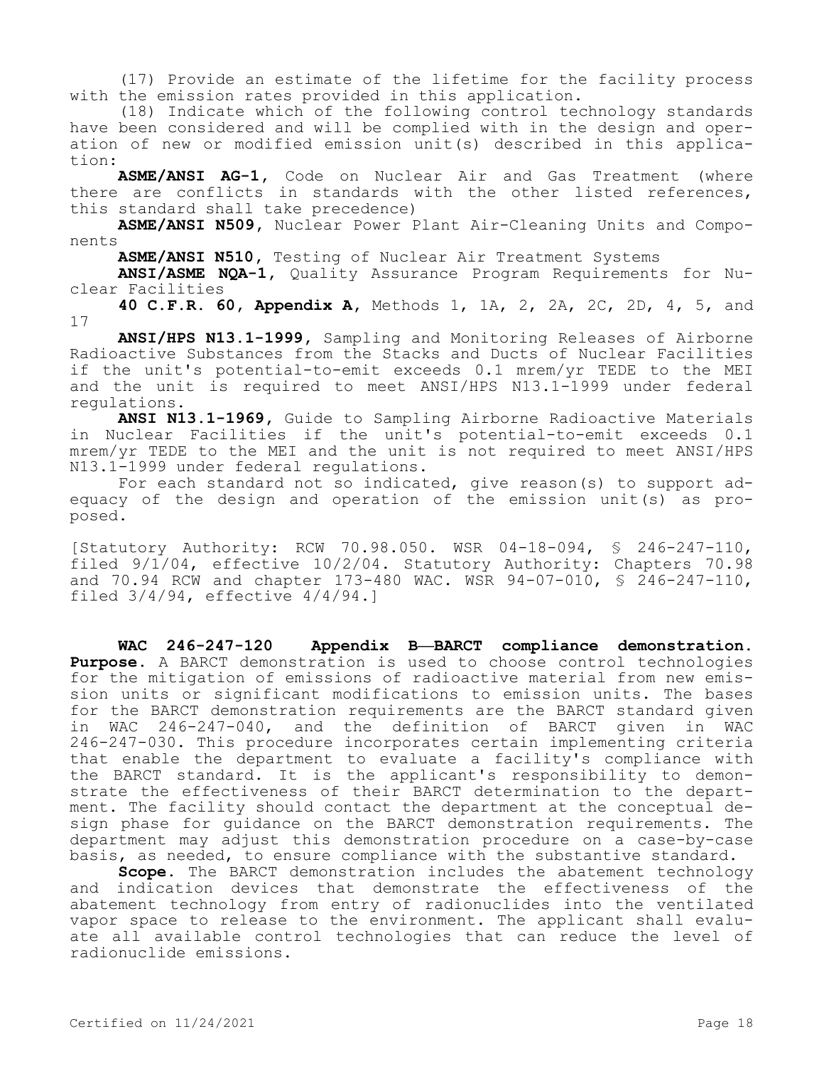(17) Provide an estimate of the lifetime for the facility process with the emission rates provided in this application.

(18) Indicate which of the following control technology standards have been considered and will be complied with in the design and operation of new or modified emission unit(s) described in this application:

**ASME/ANSI AG-1,** Code on Nuclear Air and Gas Treatment (where there are conflicts in standards with the other listed references, this standard shall take precedence)

**ASME/ANSI N509,** Nuclear Power Plant Air-Cleaning Units and Components

**ASME/ANSI N510,** Testing of Nuclear Air Treatment Systems

**ANSI/ASME NQA-1,** Quality Assurance Program Requirements for Nuclear Facilities

**40 C.F.R. 60, Appendix A,** Methods 1, 1A, 2, 2A, 2C, 2D, 4, 5, and 17

**ANSI/HPS N13.1-1999,** Sampling and Monitoring Releases of Airborne Radioactive Substances from the Stacks and Ducts of Nuclear Facilities if the unit's potential-to-emit exceeds 0.1 mrem/yr TEDE to the MEI and the unit is required to meet ANSI/HPS N13.1-1999 under federal regulations.

**ANSI N13.1-1969,** Guide to Sampling Airborne Radioactive Materials in Nuclear Facilities if the unit's potential-to-emit exceeds 0.1 mrem/yr TEDE to the MEI and the unit is not required to meet ANSI/HPS N13.1-1999 under federal regulations.

For each standard not so indicated, give reason(s) to support adequacy of the design and operation of the emission unit(s) as proposed.

[Statutory Authority: RCW 70.98.050. WSR 04-18-094, § 246-247-110, filed 9/1/04, effective 10/2/04. Statutory Authority: Chapters 70.98 and 70.94 RCW and chapter 173-480 WAC. WSR 94-07-010, § 246-247-110, filed 3/4/94, effective 4/4/94.]

**WAC 246-247-120 Appendix B—BARCT compliance demonstration. Purpose.** A BARCT demonstration is used to choose control technologies for the mitigation of emissions of radioactive material from new emission units or significant modifications to emission units. The bases for the BARCT demonstration requirements are the BARCT standard given in WAC 246-247-040, and the definition of BARCT given in WAC 246-247-030. This procedure incorporates certain implementing criteria that enable the department to evaluate a facility's compliance with the BARCT standard. It is the applicant's responsibility to demonstrate the effectiveness of their BARCT determination to the department. The facility should contact the department at the conceptual design phase for guidance on the BARCT demonstration requirements. The department may adjust this demonstration procedure on a case-by-case basis, as needed, to ensure compliance with the substantive standard.

**Scope.** The BARCT demonstration includes the abatement technology and indication devices that demonstrate the effectiveness of the abatement technology from entry of radionuclides into the ventilated vapor space to release to the environment. The applicant shall evaluate all available control technologies that can reduce the level of radionuclide emissions.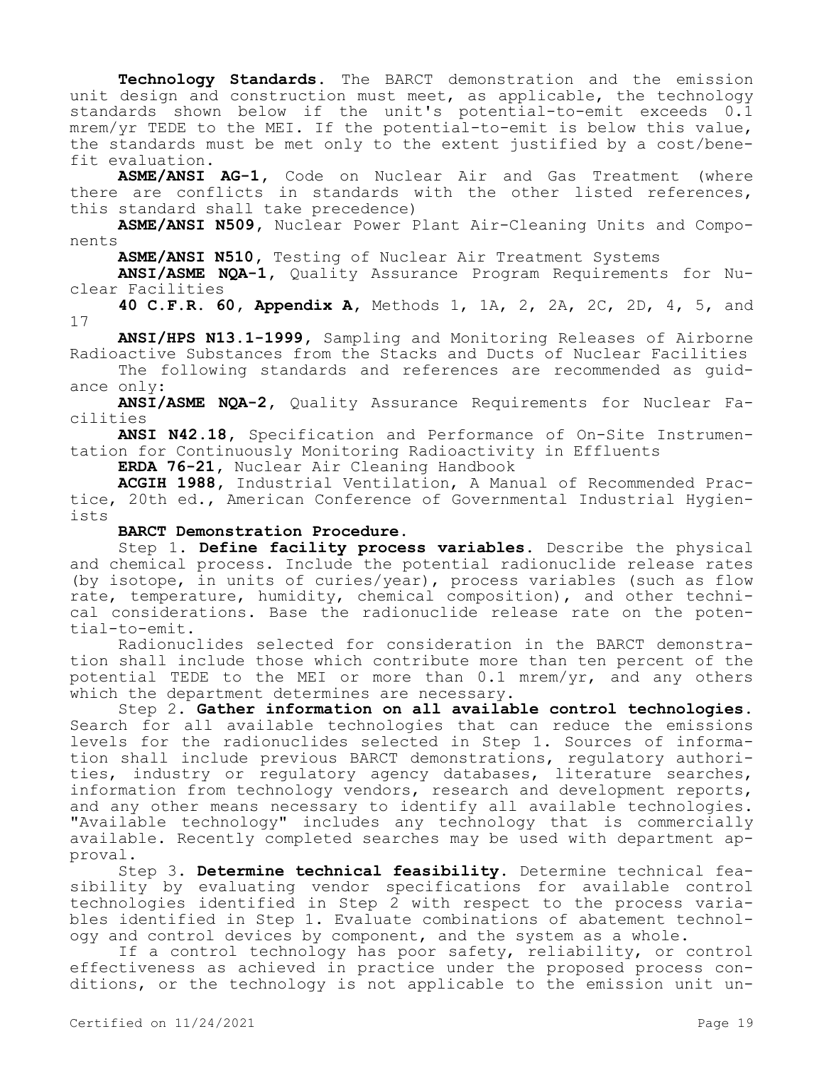**Technology Standards.** The BARCT demonstration and the emission unit design and construction must meet, as applicable, the technology standards shown below if the unit's potential-to-emit exceeds 0.1 mrem/yr TEDE to the MEI. If the potential-to-emit is below this value, the standards must be met only to the extent justified by a cost/benefit evaluation.

**ASME/ANSI AG-1,** Code on Nuclear Air and Gas Treatment (where there are conflicts in standards with the other listed references, this standard shall take precedence)

**ASME/ANSI N509,** Nuclear Power Plant Air-Cleaning Units and Components

**ASME/ANSI N510,** Testing of Nuclear Air Treatment Systems

**ANSI/ASME NQA-1,** Quality Assurance Program Requirements for Nuclear Facilities

**40 C.F.R. 60, Appendix A,** Methods 1, 1A, 2, 2A, 2C, 2D, 4, 5, and 17

**ANSI/HPS N13.1-1999,** Sampling and Monitoring Releases of Airborne Radioactive Substances from the Stacks and Ducts of Nuclear Facilities

The following standards and references are recommended as guidance only:

**ANSI/ASME NQA-2,** Quality Assurance Requirements for Nuclear Facilities

**ANSI N42.18,** Specification and Performance of On-Site Instrumentation for Continuously Monitoring Radioactivity in Effluents

**ERDA 76-21,** Nuclear Air Cleaning Handbook

**ACGIH 1988,** Industrial Ventilation, A Manual of Recommended Practice, 20th ed., American Conference of Governmental Industrial Hygienists

## **BARCT Demonstration Procedure.**

Step 1. **Define facility process variables.** Describe the physical and chemical process. Include the potential radionuclide release rates (by isotope, in units of curies/year), process variables (such as flow rate, temperature, humidity, chemical composition), and other technical considerations. Base the radionuclide release rate on the potential-to-emit.

Radionuclides selected for consideration in the BARCT demonstration shall include those which contribute more than ten percent of the potential TEDE to the MEI or more than 0.1 mrem/yr, and any others which the department determines are necessary.

Step 2. **Gather information on all available control technologies.**  Search for all available technologies that can reduce the emissions levels for the radionuclides selected in Step 1. Sources of information shall include previous BARCT demonstrations, regulatory authorities, industry or regulatory agency databases, literature searches, information from technology vendors, research and development reports, and any other means necessary to identify all available technologies. "Available technology" includes any technology that is commercially available. Recently completed searches may be used with department approval.

Step 3. **Determine technical feasibility.** Determine technical feasibility by evaluating vendor specifications for available control technologies identified in Step 2 with respect to the process variables identified in Step 1. Evaluate combinations of abatement technology and control devices by component, and the system as a whole.

If a control technology has poor safety, reliability, or control effectiveness as achieved in practice under the proposed process conditions, or the technology is not applicable to the emission unit un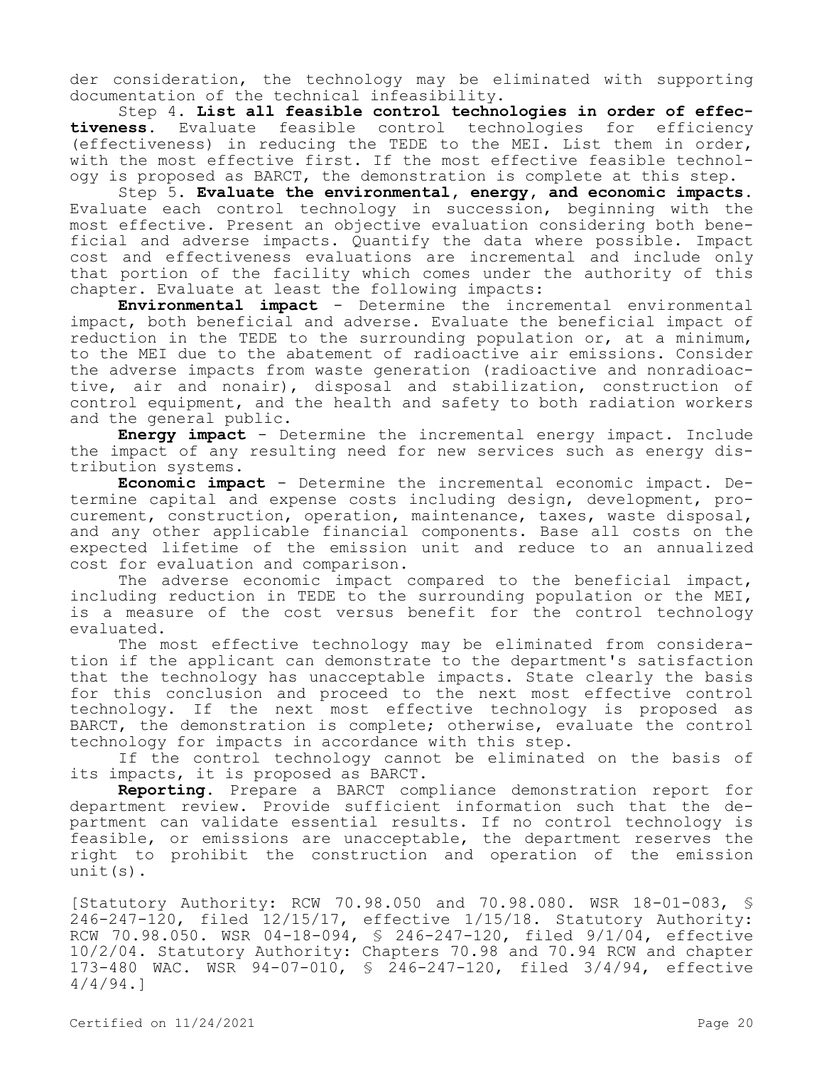der consideration, the technology may be eliminated with supporting documentation of the technical infeasibility.

Step 4. **List all feasible control technologies in order of effectiveness.** Evaluate feasible control technologies for efficiency (effectiveness) in reducing the TEDE to the MEI. List them in order, with the most effective first. If the most effective feasible technology is proposed as BARCT, the demonstration is complete at this step.

Step 5. **Evaluate the environmental, energy, and economic impacts.**  Evaluate each control technology in succession, beginning with the most effective. Present an objective evaluation considering both beneficial and adverse impacts. Quantify the data where possible. Impact cost and effectiveness evaluations are incremental and include only that portion of the facility which comes under the authority of this chapter. Evaluate at least the following impacts:

**Environmental impact** - Determine the incremental environmental impact, both beneficial and adverse. Evaluate the beneficial impact of reduction in the TEDE to the surrounding population or, at a minimum, to the MEI due to the abatement of radioactive air emissions. Consider the adverse impacts from waste generation (radioactive and nonradioactive, air and nonair), disposal and stabilization, construction of control equipment, and the health and safety to both radiation workers and the general public.

**Energy impact** - Determine the incremental energy impact. Include the impact of any resulting need for new services such as energy distribution systems.

**Economic impact** - Determine the incremental economic impact. Determine capital and expense costs including design, development, procurement, construction, operation, maintenance, taxes, waste disposal, and any other applicable financial components. Base all costs on the expected lifetime of the emission unit and reduce to an annualized cost for evaluation and comparison.

The adverse economic impact compared to the beneficial impact, including reduction in TEDE to the surrounding population or the MEI, is a measure of the cost versus benefit for the control technology evaluated.

The most effective technology may be eliminated from consideration if the applicant can demonstrate to the department's satisfaction that the technology has unacceptable impacts. State clearly the basis for this conclusion and proceed to the next most effective control technology. If the next most effective technology is proposed as BARCT, the demonstration is complete; otherwise, evaluate the control technology for impacts in accordance with this step.

If the control technology cannot be eliminated on the basis of its impacts, it is proposed as BARCT.

**Reporting.** Prepare a BARCT compliance demonstration report for department review. Provide sufficient information such that the department can validate essential results. If no control technology is feasible, or emissions are unacceptable, the department reserves the right to prohibit the construction and operation of the emission unit(s).

[Statutory Authority: RCW 70.98.050 and 70.98.080. WSR 18-01-083, § 246-247-120, filed 12/15/17, effective 1/15/18. Statutory Authority: RCW 70.98.050. WSR 04-18-094, § 246-247-120, filed 9/1/04, effective 10/2/04. Statutory Authority: Chapters 70.98 and 70.94 RCW and chapter 173-480 WAC. WSR 94-07-010, § 246-247-120, filed 3/4/94, effective 4/4/94.]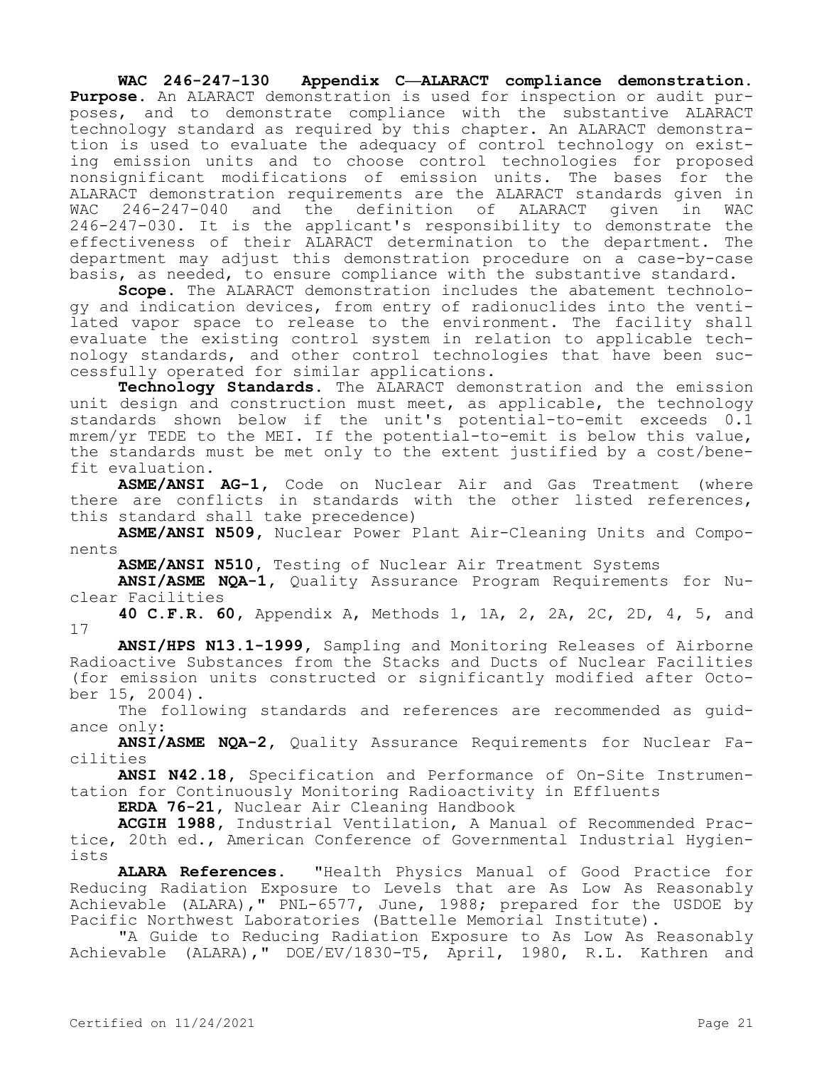**WAC 246-247-130 Appendix C—ALARACT compliance demonstration. Purpose.** An ALARACT demonstration is used for inspection or audit purposes, and to demonstrate compliance with the substantive ALARACT technology standard as required by this chapter. An ALARACT demonstration is used to evaluate the adequacy of control technology on existing emission units and to choose control technologies for proposed nonsignificant modifications of emission units. The bases for the ALARACT demonstration requirements are the ALARACT standards given in WAC 246-247-040 and the definition of ALARACT given in WAC 246-247-030. It is the applicant's responsibility to demonstrate the effectiveness of their ALARACT determination to the department. The department may adjust this demonstration procedure on a case-by-case basis, as needed, to ensure compliance with the substantive standard.

**Scope.** The ALARACT demonstration includes the abatement technology and indication devices, from entry of radionuclides into the ventilated vapor space to release to the environment. The facility shall evaluate the existing control system in relation to applicable technology standards, and other control technologies that have been successfully operated for similar applications.

**Technology Standards.** The ALARACT demonstration and the emission unit design and construction must meet, as applicable, the technology standards shown below if the unit's potential-to-emit exceeds 0.1 mrem/yr TEDE to the MEI. If the potential-to-emit is below this value, the standards must be met only to the extent justified by a cost/benefit evaluation.

**ASME/ANSI AG-1,** Code on Nuclear Air and Gas Treatment (where there are conflicts in standards with the other listed references, this standard shall take precedence)

**ASME/ANSI N509,** Nuclear Power Plant Air-Cleaning Units and Components

**ASME/ANSI N510,** Testing of Nuclear Air Treatment Systems

**ANSI/ASME NQA-1,** Quality Assurance Program Requirements for Nuclear Facilities

**40 C.F.R. 60,** Appendix A, Methods 1, 1A, 2, 2A, 2C, 2D, 4, 5, and 17

**ANSI/HPS N13.1-1999,** Sampling and Monitoring Releases of Airborne Radioactive Substances from the Stacks and Ducts of Nuclear Facilities (for emission units constructed or significantly modified after October 15, 2004).

The following standards and references are recommended as guidance only:

**ANSI/ASME NQA-2,** Quality Assurance Requirements for Nuclear Facilities

**ANSI N42.18,** Specification and Performance of On-Site Instrumentation for Continuously Monitoring Radioactivity in Effluents

**ERDA 76-21,** Nuclear Air Cleaning Handbook

**ACGIH 1988,** Industrial Ventilation, A Manual of Recommended Practice, 20th ed., American Conference of Governmental Industrial Hygienists

**ALARA References.** "Health Physics Manual of Good Practice for Reducing Radiation Exposure to Levels that are As Low As Reasonably Achievable (ALARA)," PNL-6577, June, 1988; prepared for the USDOE by Pacific Northwest Laboratories (Battelle Memorial Institute).

"A Guide to Reducing Radiation Exposure to As Low As Reasonably Achievable (ALARA)," DOE/EV/1830-T5, April, 1980, R.L. Kathren and